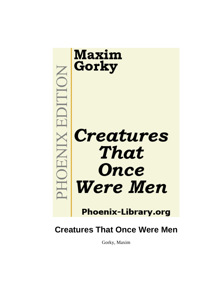

# **Creatures That Once Were Men**

Gorky, Maxim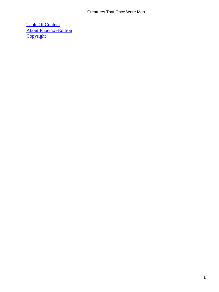### Creatures That Once Were Men

[Table Of Content](#page-66-0) [About Phoenix−Edition](#page-67-0) **[Copyright](#page-70-0)**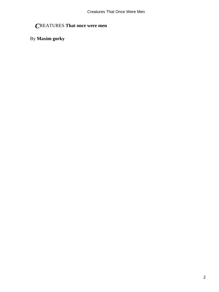# *C*REATURES **That once were men**

## By **Maxim gorky**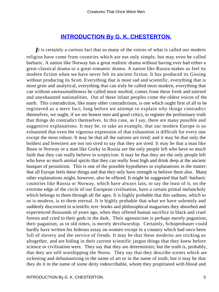### **[INTRODUCTION By G. K. CHESTERTON.](#page-66-0)**

<span id="page-3-0"></span>*I*t is certainly a curious fact that so many of the voices of what is called our modern religion have come from countries which are not only simple, but may even be called barbaric. A nation like Norway has a great realistic drama without having ever had either a great classical drama or a great romantic drama. A nation like Russia makes us feel its modern fiction when we have never felt its ancient fiction. It has produced its Gissing without producing its Scott. Everything that is most sad and scientific, everything that is most grim and analytical, everything that can truly be called most modern, everything that can without unreasonableness be called most morbid, comes from these fresh and untried and unexhausted nationalities. Out of these infant peoples come the oldest voices of the earth. This contradiction, like many other contradictions, is one which ought first of all to be registered as a mere fact; long before we attempt to explain why things contradict themselves, we ought, if we are honest men and good critics, to register the preliminary truth that things do contradict themselves. In this case, as I say, there are many possible and suggestive explanations. It may be, to take an example, that our modern Europe is so exhausted that even the vigorous expression of that exhaustion is difficult for every one except the most robust. It may be that all the nations are tired; and it may be that only the boldest and breeziest are not too tired to say that they are tired. It may be that a man like Ibsen in Norway or a man like Gorky in Russia are the only people left who have so much faith that they can really believe in scepticism. It may be that they are the only people left who have so much animal spirits that they can really feast high and drink deep at the ancient banquet of pessimism. This is one of the possible hypotheses or explanations in the matter: that all Europe feels these things and that they only have strength to believe them also. Many other explanations might, however, also be offered. It might be suggested that half−barbaric countries like Russia or Norway, which have always lain, to say the least of it, on the extreme edge of the circle of our European civilisation, have a certain primal melancholy which belongs to them through all the ages. It is highly probable that this sadness, which to us is modern, is to them eternal. It is highly probable that what we have solemnly and suddenly discovered in scientific text−books and philosophical magazines they absorbed and experienced thousands of years ago, when they offered human sacrifice in black and cruel forests and cried to their gods in the dark. Their agnosticism is perhaps merely paganism; their paganism, as in old times, is merely devilworship. Certainly, Schopenhauer could hardly have written his hideous essay on women except in a country which had once been full of slavery and the service of fiends. It may be that these moderns are tricking us altogether, and are hiding in their current scientific jargon things that they knew before science or civilisation were. They say that they are determinists; but the truth is, probably, that they are still worshipping the Norns. They say that they describe scenes which are sickening and dehumanising in the name of art or in the name of truth; but it may be that they do it in the name of some deity indescribable, whom they propitiated with blood and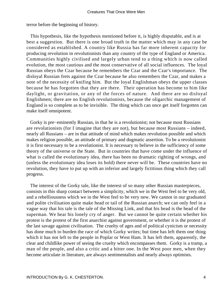terror before the beginning of history.

 This hypothesis, like the hypothesis mentioned before it, is highly disputable, and is at best a suggestion. But there is one broad truth in the matter which may in any case be considered as established. A country like Russia has far more inherent capacity for producing revolution in revolutionists than any country of the type of England or America. Communities highly civilised and largely urban tend to a thing which is now called evolution, the most cautious and the most conservative of all social influences. The loyal Russian obeys the Czar because he remembers the Czar and the Czar's importance. The disloyal Russian frets against the Czar because he also remembers the Czar, and makes a note of the necessity of knifing him. But the loyal Englishman obeys the upper classes because he has forgotten that they are there. Their operation has become to him like daylight, or gravitation, or any of the forces of nature. And there are no disloyal Englishmen; there are no English revolutionists, because the oligarchic management of England is so complete as to be invisible. The thing which can once get itself forgotten can make itself omnipotent.

 Gorky is pre−eminently Russian, in that he is a revolutionist; not because most Russians are revolutionists (for I imagine that they are not), but because most Russians – indeed, nearly all Russians – are in that attitude of mind which makes revolution possible and which makes religion possible, an attitude of primary and dogmatic assertion. To be a revolutionist it is first necessary to be a revelationist. It is necessary to believe in the sufficiency of some theory of the universe or the State. But in countries that have come under the influence of what is called the evolutionary idea, there has been no dramatic righting of wrongs, and (unless the evolutionary idea loses its hold) there never will be. These countries have no revolution, they have to put up with an inferior and largely fictitious thing which they call progress.

 The interest of the Gorky tale, like the interest of so many other Russian masterpieces, consists in this sharp contact between a simplicity, which we in the West feel to be very old, and a rebelliousness which we in the West feel to be very new. We cannot in our graduated and polite civilisation quite make head or tail of the Russian anarch; we can only feel in a vague way that his tale is the tale of the Missing Link, and that his head is the head of the superman. We hear his lonely cry of anger. But we cannot be quite certain whether his protest is the protest of the first anarchist against government, or whether it is the protest of the last savage against civilisation. The cruelty of ages and of political cynicism or necessity has done much to burden the race of which Gorky writes; but time has left them one thing which it has not left to the people in Poplar or West Ham. It has left them, apparently, the clear and childlike power of seeing the cruelty which encompasses them. Gorky is a tramp, a man of the people, and also a critic and a bitter one. In the West poor men, when they become articulate in literature, are always sentimentalists and nearly always optimists.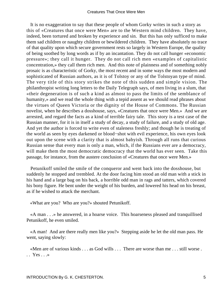It is no exaggeration to say that these people of whom Gorky writes in such a story as this of «Creatures that once were Men» are to the Western mind children. They have, indeed, been tortured and broken by experience and sin. But this has only sufficed to make them sad children or naughty children or bewildered children. They have absolutely no trace of that quality upon which secure government rests so largely in Western Europe, the quality of being soothed by long words as if by an incantation. They do not call hunger «economic pressure»; they call it hunger. They do not call rich men «examples of capitalistic concentration,» they call them rich men. And this note of plainness and of something nobly prosaic is as characteristic of Gorky, the most recent and in some ways the most modern and sophisticated of Russian authors, as it is of Tolstoy or any of the Tolstoyan type of mind. The very title of this story strikes the note of this sudden and simple vision. The philanthropist writing long letters to the Daily Telegraph says, of men living in a slum, that «their degeneration is of such a kind as almost to pass the limits of the semblance of humanity,» and we read the whole thing with a tepid assent as we should read phrases about the virtues of Queen Victoria or the dignity of the House of Commons. The Russian novelist, when he describes a dosshouse, says, «Creatures that once were Men.» And we are arrested, and regard the facts as a kind of terrible fairy tale. This story is a test case of the Russian manner, for it is in itself a study of decay, a study of failure, and a study of old age. And yet the author is forced to write even of staleness freshly; and though he is treating of the world as seen by eyes darkened or blood−shot with evil experience, his own eyes look out upon the scene with a clarity that is almost babyish. Through all runs that curious Russian sense that every man is only a man, which, if the Russians ever are a democracy, will make them the most democratic democracy that the world has ever seen. Take this passage, for instance, from the austere conclusion of «Creatures that once were Men.»

 Petunikoff smiled the smile of the conqueror and went back into the dosshouse, but suddenly he stopped and trembled. At the door facing him stood an old man with a stick in his hand and a large bag on his back, a horrible odd man in rags and tatters, which covered his bony figure. He bent under the weight of his burden, and lowered his head on his breast, as if he wished to attack the merchant.

«What are you? Who are you?» shouted Petunikoff.

 «A man . . .» he answered, in a hoarse voice. This hoarseness pleased and tranquillised Petunikoff, he even smiled.

 «A man! And are there really men like you?» Stepping aside he let the old man pass. He went, saying slowly:

 «Men are of various kinds . . . as God wills . . . There are worse than me . . . still worse .  $\therefore$  Yes  $\ldots$ »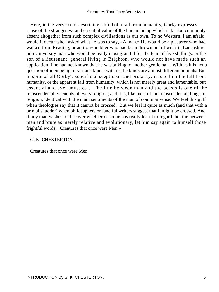Here, in the very act of describing a kind of a fall from humanity, Gorky expresses a sense of the strangeness and essential value of the human being which is far too commonly absent altogether from such complex civilisations as our own. To no Western, I am afraid, would it occur when asked what he was to say, «A man.» He would be a plasterer who had walked from Reading, or an iron−puddler who had been thrown out of work in Lancashire, or a University man who would be really most grateful for the loan of five shillings, or the son of a lieutenant−general living in Brighton, who would not have made such an application if he had not known that he was talking to another gentleman. With us it is not a question of men being of various kinds; with us the kinds are almost different animals. But in spite of all Gorky's superficial scepticism and brutality, it is to him the fall from humanity, or the apparent fall from humanity, which is not merely great and lamentable, but essential and even mystical. The line between man and the beasts is one of the transcendental essentials of every religion; and it is, like most of the transcendental things of religion, identical with the main sentiments of the man of common sense. We feel this gulf when theologies say that it cannot be crossed. But we feel it quite as much (and that with a primal shudder) when philosophers or fanciful writers suggest that it might be crossed. And if any man wishes to discover whether or no he has really learnt to regard the line between man and brute as merely relative and evolutionary, let him say again to himself those frightful words, «Creatures that once were Men.»

#### G. K. CHESTERTON.

Creatures that once were Men.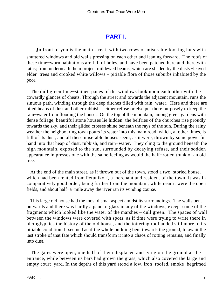### **[PART I.](#page-66-0)**

<span id="page-7-0"></span>*I*n front of you is the main street, with two rows of miserable looking huts with shuttered windows and old walls pressing on each other and leaning forward. The roofs of these time−worn habitations are full of holes, and have been patched here and there with laths; from underneath them project mildewed beams, which are shaded by the dusty−leaved elder−trees and crooked white willows – pitiable flora of those suburbs inhabited by the poor.

 The dull green time−stained panes of the windows look upon each other with the cowardly glances of cheats. Through the street and towards the adjacent mountain, runs the sinuous path, winding through the deep ditches filled with rain−water. Here and there are piled heaps of dust and other rubbish – either refuse or else put there purposely to keep the rain−water from flooding the houses. On the top of the mountain, among green gardens with dense foliage, beautiful stone houses lie hidden; the belfries of the churches rise proudly towards the sky, and their gilded crosses shine beneath the rays of the sun. During the rainy weather the neighbouring town pours its water into this main road, which, at other times, is full of its dust, and all these miserable houses seem, as it were, thrown by some powerful hand into that heap of dust, rubbish, and rain−water. They cling to the ground beneath the high mountain, exposed to the sun, surrounded by decaying refuse, and their sodden appearance impresses one with the same feeling as would the half−rotten trunk of an old tree.

 At the end of the main street, as if thrown out of the town, stood a two−storied house, which had been rented from Petunikoff, a merchant and resident of the town. It was in comparatively good order, being further from the mountain, while near it were the open fields, and about half−a−mile away the river ran its winding course.

 This large old house had the most dismal aspect amidst its surroundings. The walls bent outwards and there was hardly a pane of glass in any of the windows, except some of the fragments which looked like the water of the marshes – dull green. The spaces of wall between the windows were covered with spots, as if time were trying to write there in hieroglyphics the history of the old house, and the tottering roof added still more to its pitiable condition. It seemed as if the whole building bent towards the ground, to await the last stroke of that fate which should transform it into a chaos of rotting remains, and finally into dust.

 The gates were open, one half of them displaced and lying on the ground at the entrance, while between its bars had grown the grass, which also covered the large and empty court−yard. In the depths of this yard stood a low, iron−roofed, smoke−begrimed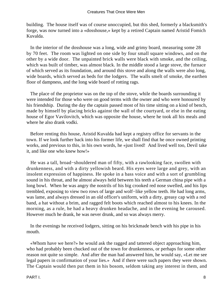building. The house itself was of course unoccupied, but this shed, formerly a blacksmith's forge, was now turned into a «dosshouse,» kept by a retired Captain named Aristid Fomich Kuvalda.

 In the interior of the dosshouse was a long, wide and grimy board, measuring some 28 by 70 feet. The room was lighted on one side by four small square windows, and on the other by a wide door. The unpainted brick walls were black with smoke, and the ceiling, which was built of timber, was almost black. In the middle stood a large stove, the furnace of which served as its foundation, and around this stove and along the walls were also long, wide boards, which served as beds for the lodgers. The walls smelt of smoke, the earthen floor of dampness, and the long wide board of rotting rags.

 The place of the proprietor was on the top of the stove, while the boards surrounding it were intended for those who were on good terms with the owner and who were honoured by his friendship. During the day the captain passed most of his time sitting on a kind of bench, made by himself by placing bricks against the wall of the courtyard, or else in the eating house of Egor Vavilovitch, which was opposite the house, where he took all his meals and where he also drank vodki.

 Before renting this house, Aristid Kuvalda had kept a registry office for servants in the town. If we look further back into his former life, we shall find that he once owned printing works, and previous to this, in his own words, he «just lived! And lived well too, Devil take it, and like one who knew how!»

 He was a tall, broad−shouldered man of fifty, with a rawlooking face, swollen with drunkenness, and with a dirty yellowish beard. His eyes were large and grey, with an insolent expression of happiness. He spoke in a bass voice and with a sort of grumbling sound in his throat, and he almost always held between his teeth a German china pipe with a long bowl. When he was angry the nostrils of his big crooked red nose swelled, and his lips trembled, exposing to view two rows of large and wolf−like yellow teeth. He had long arms, was lame, and always dressed in an old officer's uniform, with a dirty, greasy cap with a red band, a hat without a brim, and ragged felt boots which reached almost to his knees. In the morning, as a rule, he had a heavy drunken headache, and in the evening he caroused. However much he drank, he was never drunk, and so was always merry.

 In the evenings he received lodgers, sitting on his brickmade bench with his pipe in his mouth.

 «Whom have we here?» he would ask the ragged and tattered object approaching him, who had probably been chucked out of the town for drunkenness, or perhaps for some other reason not quite so simple. And after the man had answered him, he would say, «Let me see legal papers in confirmation of your lies.» And if there were such papers they were shown. The Captain would then put them in his bosom, seldom taking any interest in them, and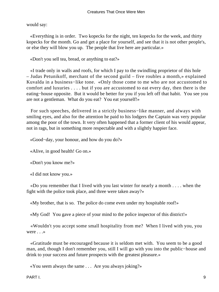would say:

 «Everything is in order. Two kopecks for the night, ten kopecks for the week, and thirty kopecks for the month. Go and get a place for yourself, and see that it is not other people's, or else they will blow you up. The people that live here are particular.»

«Don't you sell tea, bread, or anything to eat?»

 «I trade only in walls and roofs, for which I pay to the swindling proprietor of this hole – Judas Petunikoff, merchant of the second guild – five roubles a month,» explained Kuvalda in a business−like tone. «Only those come to me who are not accustomed to comfort and luxuries . . . . but if you are accustomed to eat every day, then there is the eating−house opposite. But it would be better for you if you left off that habit. You see you are not a gentleman. What do you eat? You eat yourself!»

 For such speeches, delivered in a strictly business−like manner, and always with smiling eyes, and also for the attention he paid to his lodgers the Captain was very popular among the poor of the town. It very often happened that a former client of his would appear, not in rags, but in something more respectable and with a slightly happier face.

«Good−day, your honour, and how do you do?»

«Alive, in good health! Go on.»

«Don't you know me?»

«I did not know you.»

 «Do you remember that I lived with you last winter for nearly a month . . . . when the fight with the police took place, and three were taken away?»

«My brother, that is so. The police do come even under my hospitable roof!»

«My God! You gave a piece of your mind to the police inspector of this district!»

 «Wouldn't you accept some small hospitality from me? When I lived with you, you were . . .»

 «Gratitude must be encouraged because it is seldom met with. You seem to be a good man, and, though I don't remember you, still I will go with you into the public−house and drink to your success and future prospects with the greatest pleasure.»

«You seem always the same . . . Are you always joking?»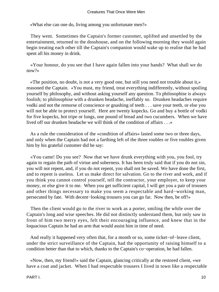«What else can one do, living among you unfortunate men?»

 They went. Sometimes the Captain's former customer, uplifted and unsettled by the entertainment, returned to the dosshouse, and on the following morning they would again begin treating each other till the Captain's companion would wake up to realise that he had spent all his money in drink.

 «Your honour, do you see that I have again fallen into your hands? What shall we do now?»

 «The position, no doubt, is not a very good one, but still you need not trouble about it,» reasoned the Captain. «You must, my friend, treat everything indifferently, without spoiling yourself by philosophy, and without asking yourself any question. To philosophise is always foolish; to philosophise with a drunken headache, ineffably so. Drunken headaches require vodki and not the remorse of conscience or gnashing of teeth . . . save your teeth, or else you will not be able to protect yourself. Here are twenty kopecks. Go and buy a bottle of vodki for five kopecks, hot tripe or lungs, one pound of bread and two cucumbers. When we have lived off our drunken headache we will think of the condition of affairs . . .»

 As a rule the consideration of the «condition of affairs» lasted some two or three days, and only when the Captain had not a farthing left of the three roubles or five roubles given him by his grateful customer did he say:

 «You came! Do you see? Now that we have drunk everything with you, you fool, try again to regain the path of virtue and soberness. It has been truly said that if you do not sin, you will not repent, and, if you do not repent, you shall not be saved. We have done the first, and to repent is useless. Let us make direct for salvation. Go to the river and work, and if you think you cannot control yourself, tell the contractor, your employer, to keep your money, or else give it to me. When you get sufficient capital, I will get you a pair of trousers and other things necessary to make you seem a respectable and hard−working man, persecuted by fate. With decent−looking trousers you can go far. Now then, be off!»

 Then the client would go to the river to work as a porter, smiling the while over the Captain's long and wise speeches. He did not distinctly understand them, but only saw in front of him two merry eyes, felt their encouraging influence, and knew that in the loquacious Captain he had an arm that would assist him in time of need.

 And really it happened very often that, for a month or so, some ticket−of−leave client, under the strict surveillance of the Captain, had the opportunity of raising himself to a condition better than that to which, thanks to the Captain's co−operation, he had fallen.

 «Now, then, my friend!» said the Captain, glancing critically at the restored client, «we have a coat and jacket. When I had respectable trousers I lived in town like a respectable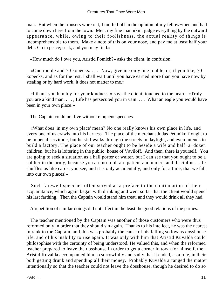man. But when the trousers wore out, I too fell off in the opinion of my fellow−men and had to come down here from the town. Men, my fine mannikin, judge everything by the outward appearance, while, owing to their foolishness, the actual reality of things is incomprehensible to them. Make a note of this on your nose, and pay me at least half your debt. Go in peace; seek, and you may find.»

«How much do I owe you, Aristid Fomich?» asks the client, in confusion.

 «One rouble and 70 kopecks. . . . Now, give me only one rouble, or, if you like, 70 kopecks, and as for the rest, I shall wait until you have earned more than you have now by stealing or by hard work, it does not matter to me.»

 «I thank you humbly for your kindness!» says the client, touched to the heart. «Truly you are a kind man. . . . ; Life has persecuted you in vain. . . . What an eagle you would have been in your own place!»

The Captain could not live without eloquent speeches.

 «What does 'in my own place' mean? No one really knows his own place in life, and every one of us crawls into his harness. The place of the merchant Judas Petunikoff ought to be in penal servitude, but he still walks through the streets in daylight, and even intends to build a factory. The place of our teacher ought to be beside a wife and half−a−dozen children, but he is loitering in the public−house of Vaviloff. And then, there is yourself. You are going to seek a situation as a hall porter or waiter, but I can see that you ought to be a soldier in the army, because you are no fool, are patient and understand discipline. Life shuffles us like cards, you see, and it is only accidentally, and only for a time, that we fall into our own places!»

 Such farewell speeches often served as a preface to the continuation of their acquaintance, which again began with drinking and went so far that the client would spend his last farthing. Then the Captain would stand him treat, and they would drink all they had.

A repetition of similar doings did not affect in the least the good relations of the parties.

 The teacher mentioned by the Captain was another of those customers who were thus reformed only in order that they should sin again. Thanks to his intellect, he was the nearest in rank to the Captain, and this was probably the cause of his falling so low as dosshouse life, and of his inability to rise again. It was only with him that Aristid Kuvalda could philosophise with the certainty of being understood. He valued this, and when the reformed teacher prepared to leave the dosshouse in order to get a corner in town for himself, then Aristid Kuvalda accompanied him so sorrowfully and sadly that it ended, as a rule, in their both getting drunk and spending all their money. Probably Kuvalda arranged the matter intentionally so that the teacher could not leave the dosshouse, though he desired to do so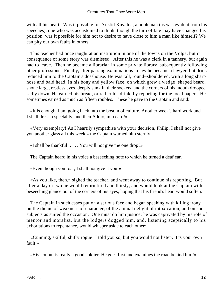with all his heart. Was it possible for Aristid Kuvalda, a nobleman (as was evident from his speeches), one who was accustomed to think, though the turn of fate may have changed his position, was it possible for him not to desire to have close to him a man like himself? We can pity our own faults in others.

 This teacher had once taught at an institution in one of the towns on the Volga, but in consequence of some story was dismissed. After this he was a clerk in a tannery, but again had to leave. Then he became a librarian in some private library, subsequently following other professions. Finally, after passing examinations in law he became a lawyer, but drink reduced him to the Captain's dosshouse. He was tall, round−shouldered, with a long sharp nose and bald head. In his bony and yellow face, on which grew a wedge−shaped beard, shone large, restless eyes, deeply sunk in their sockets, and the corners of his mouth drooped sadly down. He earned his bread, or rather his drink, by reporting for the local papers. He sometimes earned as much as fifteen roubles. These he gave to the Captain and said:

 «It is enough. I am going back into the bosom of culture. Another week's hard work and I shall dress respectably, and then Addio, mio caro!»

 «Very exemplary! As I heartily sympathise with your decision, Philip, I shall not give you another glass all this week,» the Captain warned him sternly.

«I shall be thankful! . . . . You will not give me one drop?»

The Captain heard in his voice a beseeching note to which he turned a deaf ear.

«Even though you roar, I shall not give it you!»

 «As you like, then,» sighed the teacher, and went away to continue his reporting. But after a day or two he would return tired and thirsty, and would look at the Captain with a beseeching glance out of the corners of his eyes, hoping that his friend's heart would soften.

 The Captain in such cases put on a serious face and began speaking with killing irony on the theme of weakness of character, of the animal delight of intoxication, and on such subjects as suited the occasion. One must do him justice: he was captivated by his role of mentor and moralist, but the lodgers dogged him, and, listening sceptically to his exhortations to repentance, would whisper aside to each other:

 «Cunning, skilful, shifty rogue! I told you so, but you would not listen. It's your own fault!»

«His honour is really a good soldier. He goes first and examines the road behind him!»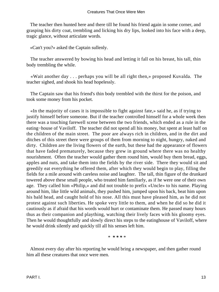The teacher then hunted here and there till he found his friend again in some corner, and grasping his dirty coat, trembling and licking his dry lips, looked into his face with a deep, tragic glance, without articulate words.

«Can't you?» asked the Captain sullenly.

 The teacher answered by bowing his head and letting it fall on his breast, his tall, thin body trembling the while.

 «Wait another day . . . perhaps you will be all right then,» proposed Kuvalda. The teacher sighed, and shook his head hopelessly.

 The Captain saw that his friend's thin body trembled with the thirst for the poison, and took some money from his pocket.

 «In the majority of cases it is impossible to fight against fate,» said he, as if trying to justify himself before someone. But if the teacher controlled himself for a whole week then there was a touching farewell scene between the two friends, which ended as a rule in the eating−house of Vaviloff. The teacher did not spend all his money, but spent at least half on the children of the main street. The poor are always rich in children, and in the dirt and ditches of this street there were groups of them from morning to night, hungry, naked and dirty. Children are the living flowers of the earth, but these had the appearance of flowers that have faded prematurely, because they grew in ground where there was no healthy nourishment. Often the teacher would gather them round him, would buy them bread, eggs, apples and nuts, and take them into the fields by the river side. There they would sit and greedily eat everything he offered them, after which they would begin to play, filling the fields for a mile around with careless noise and laughter. The tall, thin figure of the drunkard towered above these small people, who treated him familiarly, as if he were one of their own age. They called him «Philip,» and did not trouble to prefix «Uncle» to his name. Playing around him, like little wild animals, they pushed him, jumped upon his back, beat him upon his bald head, and caught hold of his nose. All this must have pleased him, as he did not protest against such liberties. He spoke very little to them, and when he did so he did it cautiously as if afraid that his words would hurt or contaminate them. He passed many hours thus as their companion and plaything, watching their lively faces with his gloomy eyes. Then he would thoughtfully and slowly direct his steps to the eatinghouse of Vaviloff, where he would drink silently and quickly till all his senses left him.

*\* \* \* \* \**

 Almost every day after his reporting he would bring a newspaper, and then gather round him all these creatures that once were men.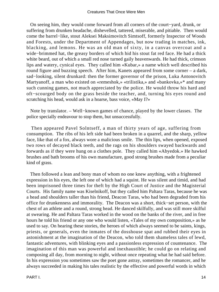On seeing him, they would come forward from all corners of the court−yard, drunk, or suffering from drunken headache, dishevelled, tattered, miserable, and pitiable. Then would come the barrel−like, stout Aleksei Maksimovitch Simtsoff, formerly Inspector of Woods and Forests, under the Department of Appendages, but now trading in matches, ink, blacking, and lemons. He was an old man of sixty, in a canvas overcoat and a wide−brimmed hat, the greasy borders of which hid his stout fat red face. He had a thick white beard, out of which a small red nose turned gaily heavenwards. He had thick, crimson lips and watery, cynical eyes. They called him «Kubar,» a name which well described his round figure and buzzing speech. After him, Kanets appeared from some corner – a dark, sad−looking, silent drunkard: then the former governor of the prison, Luka Antonovitch Martyanoff, a man who existed on «remeshok,» «trilistika,» and «bankovka,»\* and many such cunning games, not much appreciated by the police. He would throw his hard and oft−scourged body on the grass beside the teacher, and, turning his eyes round and scratching his head, would ask in a hoarse, bass voice, «May I?»

 Note by translator. – Well−known games of chance, played by the lower classes. The police specially endeavour to stop them, but unsuccessfully.

 Then appeared Pavel Solntseff, a man of thirty years of age, suffering from consumption. The ribs of his left side had been broken in a quarrel, and the sharp, yellow face, like that of a fox, always wore a malicious smile. The thin lips, when opened, exposed two rows of decayed black teeth, and the rags on his shoulders swayed backwards and forwards as if they were hung on a clothes pole. They called him «Abyedok.» He hawked brushes and bath brooms of his own manufacture, good strong brushes made from a peculiar kind of grass.

 Then followed a lean and bony man of whom no one knew anything, with a frightened expression in his eyes, the left one of which had a squint. He was silent and timid, and had been imprisoned three times for theft by the High Court of Justice and the Magisterial Courts. His family name was Kiselnikoff, but they called him Paltara Taras, because he was a head and shoulders taller than his friend, Deacon Taras, who had been degraded from his office for drunkenness and immorality. The Deacon was a short, thick−set person, with the chest of an athlete and a round, strong head. He danced skilfully, and was still more skilful at swearing. He and Paltara Taras worked in the wood on the banks of the river, and in free hours he told his friend or any one who would listen, «Tales of my own composition,» as he used to say. On hearing these stories, the heroes of which always seemed to be saints, kings, priests, or generals, even the inmates of the dosshouse spat and rubbed their eyes in astonishment at the imagination of the Deacon, who told them shameless tales of lewd, fantastic adventures, with blinking eyes and a passionless expression of countenance. The imagination of this man was powerful and inexhaustible; he could go on relating and composing all day, from morning to night, without once repeating what he had said before. In his expression you sometimes saw the poet gone astray, sometimes the romancer, and he always succeeded in making his tales realistic by the effective and powerful words in which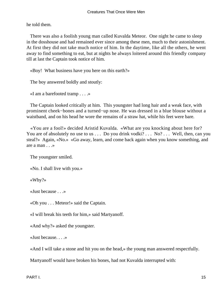he told them.

 There was also a foolish young man called Kuvalda Meteor. One night he came to sleep in the dosshouse and had remained ever since among these men, much to their astonishment. At first they did not take much notice of him. In the daytime, like all the others, he went away to find something to eat, but at nights he always loitered around this friendly company till at last the Captain took notice of him.

«Boy! What business have you here on this earth?»

The boy answered boldly and stoutly:

«I am a barefooted tramp . . . .»

 The Captain looked critically at him. This youngster had long hair and a weak face, with prominent cheek−bones and a turned−up nose. He was dressed in a blue blouse without a waistband, and on his head he wore the remains of a straw hat, while his feet were bare.

 «You are a fool!» decided Aristid Kuvalda. «What are you knocking about here for? You are of absolutely no use to us . . . Do you drink vodki? . . . No? . . . Well, then, can you steal?» Again, «No.» «Go away, learn, and come back again when you know something, and are a man . . .»

The youngster smiled.

«No. I shall live with you.»

«Why?»

«Just because . . .»

«Oh you . . . Meteor!» said the Captain.

«I will break his teeth for him,» said Martyanoff.

«And why?» asked the youngster.

«Just because. . . .»

«And I will take a stone and hit you on the head,» the young man answered respectfully.

Martyanoff would have broken his bones, had not Kuvalda interrupted with: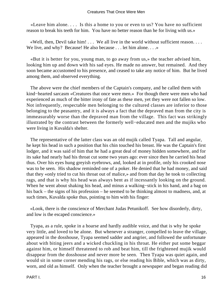«Leave him alone. . . . Is this a home to you or even to us? You have no sufficient reason to break his teeth for him. You have no better reason than he for living with us.»

 «Well, then, Devil take him! . . . We all live in the world without sufficient reason. . . . We live, and why? Because! He also because . . . let him alone. . . . »

 «But it is better for you, young man, to go away from us,» the teacher advised him, looking him up and down with his sad eyes. He made no answer, but remained. And they soon became accustomed to his presence, and ceased to take any notice of him. But he lived among them, and observed everything.

 The above were the chief members of the Captain's company, and he called them with kind−hearted sarcasm «Creatures that once were men.» For though there were men who had experienced as much of the bitter irony of fate as these men, yet they were not fallen so low. Not infrequently, respectable men belonging to the cultured classes are inferior to those belonging to the peasantry, and it is always a fact that the depraved man from the city is immeasurably worse than the depraved man from the village. This fact was strikingly illustrated by the contrast between the formerly well−educated men and the mujiks who were living in Kuvalda's shelter.

 The representative of the latter class was an old mujik called Tyapa. Tall and angular, he kept his head in such a position that his chin touched his breast. He was the Captain's first lodger, and it was said of him that he had a great deal of money hidden somewhere, and for its sake had nearly had his throat cut some two years ago: ever since then he carried his head thus. Over his eyes hung greyish eyebrows, and, looked at in profile, only his crooked nose was to be seen. His shadow reminded one of a poker. He denied that he had money, and said that they «only tried to cut his throat out of malice,» and from that day he took to collecting rags, and that is why his head was always bent as if incessantly looking on the ground. When he went about shaking his head, and minus a walking−stick in his hand, and a bag on his back – the signs of his profession – he seemed to be thinking almost to madness, and, at such times, Kuvalda spoke thus, pointing to him with his finger:

 «Look, there is the conscience of Merchant Judas Petunikoff. See how disorderly, dirty, and low is the escaped conscience.»

 Tyapa, as a rule, spoke in a hoarse and hardly audible voice, and that is why he spoke very little, and loved to be alone. But whenever a stranger, compelled to leave the village, appeared in the dosshouse, Tyapa seemed sadder and angrier, and followed the unfortunate about with biting jeers and a wicked chuckling in his throat. He either put some beggar against him, or himself threatened to rob and beat him, till the frightened mujik would disappear from the dosshouse and never more be seen. Then Tyapa was quiet again, and would sit in some corner mending his rags, or else reading his Bible, which was as dirty, worn, and old as himself. Only when the teacher brought a newspaper and began reading did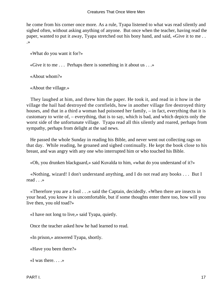he come from his corner once more. As a rule, Tyapa listened to what was read silently and sighed often, without asking anything of anyone. But once when the teacher, having read the paper, wanted to put it away, Tyapa stretched out his bony hand, and said, «Give it to me . . .»

«What do you want it for?»

«Give it to me . . . Perhaps there is something in it about us . . .»

«About whom?»

«About the village.»

 They laughed at him, and threw him the paper. He took it, and read in it how in the village the hail had destroyed the cornfields, how in another village fire destroyed thirty houses, and that in a third a woman had poisoned her family, – in fact, everything that it is customary to write of, – everything, that is to say, which is bad, and which depicts only the worst side of the unfortunate village. Tyapa read all this silently and roared, perhaps from sympathy, perhaps from delight at the sad news.

 He passed the whole Sunday in reading his Bible, and never went out collecting rags on that day. While reading, he groaned and sighed continually. He kept the book close to his breast, and was angry with any one who interrupted him or who touched his Bible.

«Oh, you drunken blackguard,» said Kuvalda to him, «what do you understand of it?»

 «Nothing, wizard! I don't understand anything, and I do not read any books . . . But I read . . .»

 «Therefore you are a fool . . .» said the Captain, decidedly. «When there are insects in your head, you know it is uncomfortable, but if some thoughts enter there too, how will you live then, you old toad?»

«I have not long to live,» said Tyapa, quietly.

Once the teacher asked how he had learned to read.

«In prison,» answered Tyapa, shortly.

«Have you been there?»

«I was there.  $\ldots$ »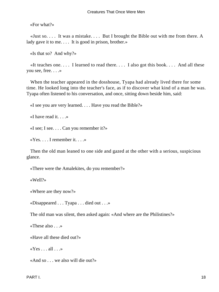«For what?»

 «Just so. . . . It was a mistake. . . . But I brought the Bible out with me from there. A lady gave it to me. . . . It is good in prison, brother.»

«Is that so? And why?»

«It teaches one.... I learned to read there.... I also got this book.... And all these you see, free. . . .»

 When the teacher appeared in the dosshouse, Tyapa had already lived there for some time. He looked long into the teacher's face, as if to discover what kind of a man he was. Tyapa often listened to his conversation, and once, sitting down beside him, said:

«I see you are very learned. . . . Have you read the Bible?»

«I have read it. . . .»

«I see; I see. . . . Can you remember it?»

«Yes. . . . I remember it. . . .»

 Then the old man leaned to one side and gazed at the other with a serious, suspicious glance.

«There were the Amalekites, do you remember?»

«Well?»

«Where are they now?»

«Disappeared . . . Tyapa . . . died out . . .»

The old man was silent, then asked again: «And where are the Philistines?»

«These also . . .»

«Have all these died out?»

« $Yes \dots all \dots$ »

«And so . . . we also will die out?»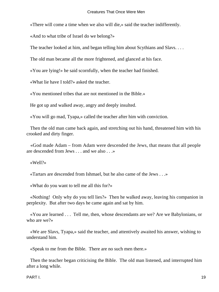«There will come a time when we also will die,» said the teacher indifferently.

«And to what tribe of Israel do we belong?»

The teacher looked at him, and began telling him about Scythians and Slavs. . . .

The old man became all the more frightened, and glanced at his face.

«You are lying!» he said scornfully, when the teacher had finished.

«What lie have I told?» asked the teacher.

«You mentioned tribes that are not mentioned in the Bible.»

He got up and walked away, angry and deeply insulted.

«You will go mad, Tyapa,» called the teacher after him with conviction.

 Then the old man came back again, and stretching out his hand, threatened him with his crooked and dirty finger.

 «God made Adam – from Adam were descended the Jews, that means that all people are descended from Jews . . . and we also . . .»

«Well?»

«Tartars are descended from Ishmael, but he also came of the Jews . . .»

«What do you want to tell me all this for?»

 «Nothing! Only why do you tell lies?» Then he walked away, leaving his companion in perplexity. But after two days he came again and sat by him.

 «You are learned . . . Tell me, then, whose descendants are we? Are we Babylonians, or who are we?»

 «We are Slavs, Tyapa,» said the teacher, and attentively awaited his answer, wishing to understand him.

«Speak to me from the Bible. There are no such men there.»

 Then the teacher began criticising the Bible. The old man listened, and interrupted him after a long while.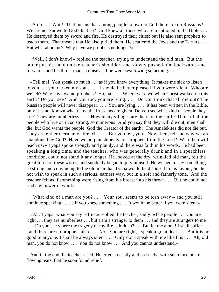«Stop . . . Wait! That means that among people known to God there are no Russians? We are not known to God? Is it so? God knew all those who are mentioned in the Bible . . . He destroyed them by sword and fire, He destroyed their cities; but He also sent prophets to teach them. That means that He also pitied them. He scattered the Jews and the Tartars . . . But what about us? Why have we prophets no longer?»

 «Well, I don't know!» replied the teacher, trying to understand the old man. But the latter put his hand on the teacher's shoulder, and slowly pushed him backwards and forwards, and his throat made a noise as if he were swallowing something. . . .

 «Tell me! You speak so much . . . as if you knew everything. It makes me sick to listen to you . . . you darken my soul. . . . I should be better pleased if you were silent. Who are we, eh? Why have we no prophets? Ha, ha! . . . Where were we when Christ walked on this earth? Do you see? And you too, you are lying. . . . Do you think that all die out? The Russian people will never disappear. . . . You are lying. . . . It has been written in the Bible, only it is not known what name the Russians are given. Do you see what kind of people they are? They are numberless. . . . How many villages are there on the earth? Think of all the people who live on it, so strong, so numerous! And you say that they will die out; men shall die, but God wants the people, God the Creator of the earth! The Amalekites did not die out. They are either German or French.... But you, eh, you! Now then, tell me why we are abandoned by God? Have we no punishments nor prophets from the Lord? Who then will teach us?» Tyapa spoke strongly and plainly, and there was faith in his words. He had been speaking a long time, and the teacher, who was generally drunk and in a speechless condition, could not stand it any longer. He looked at the dry, wrinkled old man, felt the great force of these words, and suddenly began to pity himself. He wished to say something so strong and convincing to the old man that Tyapa would be disposed in his favour; he did not wish to speak in such a serious, earnest way, but in a soft and fatherly tone. And the teacher felt as if something were rising from his breast into his throat . . . But he could not find any powerful words.

 «What kind of a man are you? . . . Your soul seems to be torn away – and you still continue speaking . . . as if you knew something . . . It would be better if you were silent.»

 «Ah, Tyapa, what you say is true,» replied the teacher, sadly. «The people . . . you are right . . . they are numberless . . . but I am a stranger to them . . . and they are strangers to me ... Do you see where the tragedy of my life is hidden? ... But let me alone! I shall suffer ... . and there are no prophets also . . . No. You are right, I speak a great deal . . . But it is no good to anyone. I shall be always silent . . . Only don't speak with me like this . . . Ah, old man, you do not know . . . You do not know . . . And you cannot understand.»

 And in the end the teacher cried. He cried so easily and so freely, with such torrents of flowing tears, that he soon found relief.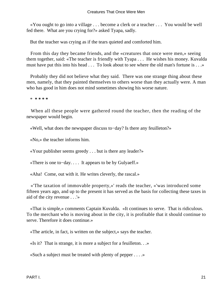«You ought to go into a village . . . become a clerk or a teacher . . . You would be well fed there. What are you crying for?» asked Tyapa, sadly.

But the teacher was crying as if the tears quieted and comforted him.

 From this day they became friends, and the «creatures that once were men,» seeing them together, said: «The teacher is friendly with Tyapa . . . He wishes his money. Kuvalda must have put this into his head . . . To look about to see where the old man's fortune is . . .»

 Probably they did not believe what they said. There was one strange thing about these men, namely, that they painted themselves to others worse than they actually were. A man who has good in him does not mind sometimes showing his worse nature.

\* **\* \* \* \***

 When all these people were gathered round the teacher, then the reading of the newspaper would begin.

«Well, what does the newspaper discuss to−day? Is there any feuilleton?»

«No,» the teacher informs him.

«Your publisher seems greedy . . . but is there any leader?»

«There is one to−day. . . . It appears to be by Gulyaeff.»

«Aha! Come, out with it. He writes cleverly, the rascal.»

 «'The taxation of immovable property,»' reads the teacher, «'was introduced some fifteen years ago, and up to the present it has served as the basis for collecting these taxes in aid of the city revenue . . .'»

 «That is simple,» comments Captain Kuvalda. «It continues to serve. That is ridiculous. To the merchant who is moving about in the city, it is profitable that it should continue to serve. Therefore it does continue.»

«The article, in fact, is written on the subject,» says the teacher.

«Is it? That is strange, it is more a subject for a feuilleton. . .»

«Such a subject must be treated with plenty of pepper . . . .»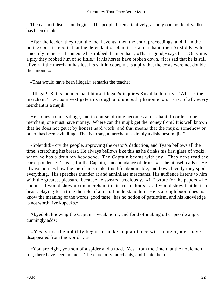Then a short discussion begins. The people listen attentively, as only one bottle of vodki has been drunk.

 After the leader, they read the local events, then the court proceedings, and, if in the police court it reports that the defendant or plaintiff is a merchant, then Aristid Kuvalda sincerely rejoices. If someone has robbed the merchant, «That is good,» says he. «Only it is a pity they robbed him of so little.» If his horses have broken down, «It is sad that he is still alive.» If the merchant has lost his suit in court, «It is a pity that the costs were not double the amount.»

«That would have been illegal,» remarks the teacher

 «Illegal! But is the merchant himself legal?» inquires Kuvalda, bitterly. "What is the merchant? Let us investigate this rough and uncouth phenomenon. First of all, every merchant is a mujik.

 He comes from a village, and in course of time becomes a merchant. In order to be a merchant, one must have money. Where can the mujik get the money from? It is well known that he does not get it by honest hard work, and that means that the mujik, somehow or other, has been swindling. That is to say, a merchant is simply a dishonest mujik."

 «Splendid!» cry the people, approving the orator's deduction, and Tyapa bellows all the time, scratching his breast. He always bellows like this as he drinks his first glass of vodki, when he has a drunken headache. The Captain beams with joy. They next read the correspondence. This is, for the Captain, «an abundance of drinks,» as he himself calls it. He always notices how the merchants make this life abominable, and how cleverly they spoil everything. His speeches thunder at and annihilate merchants. His audience listens to him with the greatest pleasure, because he swears atrociously. «If I wrote for the papers,» he shouts, «I would show up the merchant in his true colours . . . I would show that he is a beast, playing for a time the role of a man. I understand him! He is a rough boor, does not know the meaning of the words 'good taste,' has no notion of patriotism, and his knowledge is not worth five kopecks.»

 Abyedok, knowing the Captain's weak point, and fond of making other people angry, cunningly adds:

 «Yes, since the nobility began to make acquaintance with hunger, men have disappeared from the world . . .»

 «You are right, you son of a spider and a toad. Yes, from the time that the noblemen fell, there have been no men. There are only merchants, and I hate them.»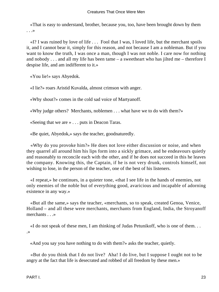«That is easy to understand, brother, because you, too, have been brought down by them . . .»

 «I? I was ruined by love of life . . . Fool that I was, I loved life, but the merchant spoils it, and I cannot bear it, simply for this reason, and not because I am a nobleman. But if you want to know the truth, I was once a man, though I was not noble. I care now for nothing and nobody . . . and all my life has been tame – a sweetheart who has jilted me – therefore I despise life, and am indifferent to it.»

«You lie!» says Abyedok.

«I lie?» roars Aristid Kuvalda, almost crimson with anger.

«Why shout?» comes in the cold sad voice of Martyanoff.

«Why judge others? Merchants, noblemen . . . what have we to do with them?»

«Seeing that we are » . . . puts in Deacon Taras.

«Be quiet, Abyedok,» says the teacher, goodnaturedly.

 «Why do you provoke him?» He does not love either discussion or noise, and when they quarrel all around him his lips form into a sickly grimace, and he endeavours quietly and reasonably to reconcile each with the other, and if he does not succeed in this he leaves the company. Knowing this, the Captain, if he is not very drunk, controls himself, not wishing to lose, in the person of the teacher, one of the best of his listeners.

 «I repeat,» he continues, in a quieter tone, «that I see life in the hands of enemies, not only enemies of the noble but of everything good, avaricious and incapable of adorning existence in any way.»

 «But all the same,» says the teacher, «merchants, so to speak, created Genoa, Venice, Holland – and all these were merchants, merchants from England, India, the Stroyanoff merchants . . .»

 «I do not speak of these men, I am thinking of Judas Petunikoff, who is one of them. . . .»

«And you say you have nothing to do with them?» asks the teacher, quietly.

 «But do you think that I do not live? Aha! I do live, but I suppose I ought not to be angry at the fact that life is desecrated and robbed of all freedom by these men.»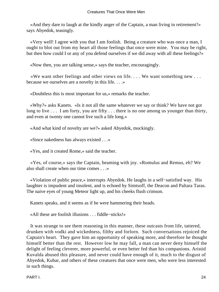«And they dare to laugh at the kindly anger of the Captain, a man living in retirement?» says Abyedok, teasingly.

 «Very well! I agree with you that I am foolish. Being a creature who was once a man, I ought to blot out from my heart all those feelings that once were mine. You may be right, but then how could I or any of you defend ourselves if we did away with all these feelings?»

«Now then, you are talking sense,» says the teacher, encouragingly.

 «We want other feelings and other views on life. . . . We want something new . . . because we ourselves are a novelty in this life. . . .»

«Doubtless this is most important for us,» remarks the teacher.

 «Why?» asks Kanets. «Is it not all the same whatever we say or think? We have not got long to live . . . I am forty, you are fifty . . . there is no one among us younger than thirty, and even at twenty one cannot live such a life long.»

«And what kind of novelty are we?» asked Abyedok, mockingly.

«Since nakedness has always existed . . .»

«Yes, and it created Rome,» said the teacher.

 «Yes, of course,» says the Captain, beaming with joy. «Romulus and Remus, eh? We also shall create when our time comes . . .»

 «Violation of public peace,» interrupts Abyedok. He laughs in a self−satisfied way. His laughter is impudent and insolent, and is echoed by Simtsoff, the Deacon and Paltara Taras. The naive eyes of young Meteor light up, and his cheeks flush crimson.

Kanets speaks, and it seems as if he were hammering their heads.

«All these are foolish illusions . . . fiddle−sticks!»

 It was strange to see them reasoning in this manner, these outcasts from life, tattered, drunken with vodki and wickedness, filthy and forlorn. Such conversations rejoiced the Captain's heart. They gave him an opportunity of speaking more, and therefore he thought himself better than the rest. However low he may fall, a man can never deny himself the delight of feeling cleverer, more powerful, or even better fed than his companions. Aristid Kuvalda abused this pleasure, and never could have enough of it, much to the disgust of Abyedok, Kubar, and others of these creatures that once were men, who were less interested in such things.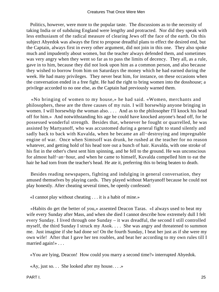Politics, however, were more to the popular taste. The discussions as to the necessity of taking India or of subduing England were lengthy and protracted. Nor did they speak with less enthusiasm of the radical measure of clearing Jews off the face of the earth. On this subject Abyedok was always the first to propose dreadful plans to effect the desired end, but the Captain, always first in every other argument, did not join in this one. They also spoke much and impudently about women, but the teacher always defended them, and sometimes was very angry when they went so far as to pass the limits of decency. They all, as a rule, gave in to him, because they did not look upon him as a common person, and also because they wished to borrow from him on Saturdays the money which he had earned during the week. He had many privileges. They never beat him, for instance, on these occasions when the conversation ended in a free fight. He had the right to bring women into the dosshouse; a privilege accorded to no one else, as the Captain had previously warned them.

 «No bringing of women to my house,» he had said. «Women, merchants and philosophers, these are the three causes of my ruin. I will horsewhip anyone bringing in women. I will horsewhip the woman also. . . . And as to the philosopher I'll knock his head off for him.» And notwithstanding his age he could have knocked anyone's head off, for he possessed wonderful strength. Besides that, whenever he fought or quarrelled, he was assisted by Martyanoff, who was accustomed during a general fight to stand silently and sadly back to back with Kuvalda, when he became an all−destroying and impregnable engine of war. Once when Simtsoff was drunk, he rushed at the teacher for no reason whatever, and getting hold of his head tore out a bunch of hair. Kuvalda, with one stroke of his fist in the other's chest sent him spinning, and he fell to the ground. He was unconscious for almost half−an−hour, and when he came to himself, Kuvalda compelled him to eat the hair he had torn from the teacher's head. He ate it, preferring this to being beaten to death.

 Besides reading newspapers, fighting and indulging in general conversation, they amused themselves by playing cards. They played without Martyanoff because he could not play honestly. After cheating several times, he openly confessed:

«I cannot play without cheating . . . it is a habit of mine.»

 «Habits do get the better of you,» assented Deacon Taras. «I always used to beat my wife every Sunday after Mass, and when she died I cannot describe how extremely dull I felt every Sunday. I lived through one Sunday – it was dreadful, the second I still controlled myself, the third Sunday I struck my Asok. . . . She was angry and threatened to summon me. Just imagine if she had done so! On the fourth Sunday, I beat her just as if she were my own wife! After that I gave her ten roubles, and beat her according to my own rules till I married again!» . . .

«You are lying, Deacon! How could you marry a second time?» interrupted Abyedok.

«Ay, just so. . . She looked after my house. . . .»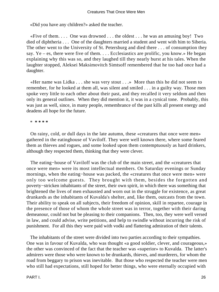«Did you have any children?» asked the teacher.

«Five of them.... One was drowned ... the oldest  $\dots$  he was an amusing boy! Two died of diphtheria . . . One of the daughters married a student and went with him to Siberia. The other went to the University of St. Petersburg and died there . . . of consumption they say. Ye – es, there were five of them. . . . Ecclesiastics are prolific, you know.» He began explaining why this was so, and they laughed till they nearly burst at his tales. When the laughter stopped, Aleksei Maksimovitch Simtsoff remembered that he too had once had a daughter.

 «Her name was Lidka . . . she was very stout . . .» More than this he did not seem to remember, for he looked at them all, was silent and smiled . . . in a guilty way. Those men spoke very little to each other about their past, and they recalled it very seldom and then only its general outlines. When they did mention it, it was in a cynical tone. Probably, this was just as well, since, in many people, remembrance of the past kills all present energy and deadens all hope for the future.

\* **\* \* \* \***

 On rainy, cold, or dull days in the late autumn, these «creatures that once were men» gathered in the eatinghouse of Vaviloff. They were well known there, where some feared them as thieves and rogues, and some looked upon them contemptuously as hard drinkers, although they respected them, thinking that they were clever.

 The eating−house of Vaviloff was the club of the main street, and the «creatures that once were men» were its most intellectual members. On Saturday evenings or Sunday mornings, when the eating−house was packed, the «creatures that once were men» were only too welcome guests. They brought with them, besides the forgotten and poverty−stricken inhabitants of the street, their own spirit, in which there was something that brightened the lives of men exhausted and worn out in the struggle for existence, as great drunkards as the inhabitants of Kuvalda's shelter, and, like them, outcasts from the town. Their ability to speak on all subjects, their freedom of opinion, skill in repartee, courage in the presence of those of whom the whole street was in terror, together with their daring demeanour, could not but be pleasing to their companions. Then, too, they were well versed in law, and could advise, write petitions, and help to swindle without incurring the risk of punishment. For all this they were paid with vodki and flattering admiration of their talents.

 The inhabitants of the street were divided into two parties according to their sympathies. One was in favour of Kuvalda, who was thought «a good soldier, clever, and courageous,» the other was convinced of the fact that the teacher was «superior» to Kuvalda. The latter's admirers were those who were known to be drunkards, thieves, and murderers, for whom the road from beggary to prison was inevitable. But those who respected the teacher were men who still had expectations, still hoped for better things, who were eternally occupied with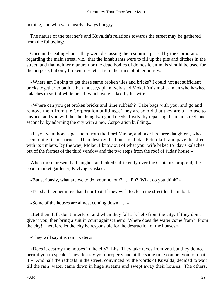nothing, and who were nearly always hungry.

 The nature of the teacher's and Kuvalda's relations towards the street may be gathered from the following:

 Once in the eating−house they were discussing the resolution passed by the Corporation regarding the main street, viz., that the inhabitants were to fill up the pits and ditches in the street, and that neither manure nor the dead bodies of domestic animals should be used for the purpose, but only broken tiles, etc., from the ruins of other houses.

 «Where am I going to get these same broken tiles and bricks? I could not get sufficient bricks together to build a hen−house,» plaintively said Mokei Anisimoff, a man who hawked kalaches (a sort of white bread) which were baked by his wife.

 «Where can you get broken bricks and lime rubbish? Take bags with you, and go and remove them from the Corporation buildings. They are so old that they are of no use to anyone, and you will thus be doing two good deeds; firstly, by repairing the main street; and secondly, by adorning the city with a new Corporation building.»

 «If you want horses get them from the Lord Mayor, and take his three daughters, who seem quite fit for harness. Then destroy the house of Judas Petunikoff and pave the street with its timbers. By the way, Mokei, I know out of what your wife baked to−day's kalaches; out of the frames of the third window and the two steps from the roof of Judas' house.»

 When those present had laughed and joked sufficiently over the Captain's proposal, the sober market gardener, Pavlyugus asked:

«But seriously, what are we to do, your honour? . . . Eh? What do you think?»

«I? I shall neither move hand nor foot. If they wish to clean the street let them do it.»

«Some of the houses are almost coming down. . . .»

 «Let them fall; don't interfere; and when they fall ask help from the city. If they don't give it you, then bring a suit in court against them! Where does the water come from? From the city! Therefore let the city be responsible for the destruction of the houses.»

«They will say it is rain−water.»

 «Does it destroy the houses in the city? Eh? They take taxes from you but they do not permit you to speak! They destroy your property and at the same time compel you to repair it!» And half the radicals in the street, convinced by the words of Kuvalda, decided to wait till the rain−water came down in huge streams and swept away their houses. The others,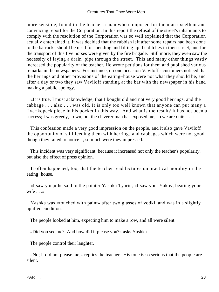more sensible, found in the teacher a man who composed for them an excellent and convincing report for the Corporation. In this report the refusal of the street's inhabitants to comply with the resolution of the Corporation was so well explained that the Corporation actually entertained it. It was decided that the rubbish left after some repairs had been done to the barracks should be used for mending and filling up the ditches in their street, and for the transport of this five horses were given by the fire brigade. Still more, they even saw the necessity of laying a drain−pipe through the street. This and many other things vastly increased the popularity of the teacher. He wrote petitions for them and published various remarks in the newspapers. For instance, on one occasion Vaviloff's customers noticed that the herrings and other provisions of the eating−house were not what they should be, and after a day or two they saw Vaviloff standing at the bar with the newspaper in his hand making a public apology.

 «It is true, I must acknowledge, that I bought old and not very good herrings, and the cabbage . . . also . . . was old. It is only too well known that anyone can put many a five−kopeck piece in his pocket in this way. And what is the result? It has not been a success; I was greedy, I own, but the cleverer man has exposed me, so we are quits . . . »

 This confession made a very good impression on the people, and it also gave Vaviloff the opportunity of still feeding them with herrings and cabbages which were not good, though they failed to notice it, so much were they impressed.

 This incident was very significant, because it increased not only the teacher's popularity, but also the effect of press opinion.

 It often happened, too, that the teacher read lectures on practical morality in the eating−house.

 «I saw you,» he said to the painter Yashka Tyarin, «I saw you, Yakov, beating your wife . . .»

 Yashka was «touched with paint» after two glasses of vodki, and was in a slightly uplifted condition.

The people looked at him, expecting him to make a row, and all were silent.

«Did you see me? And how did it please you?» asks Yashka.

The people control their laughter.

 «No; it did not please me,» replies the teacher. His tone is so serious that the people are silent.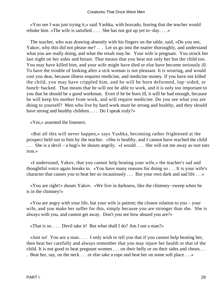«You see I was just trying it,» said Yashka, with bravado, fearing that the teacher would rebuke him. «The wife is satisfied. . . . She has not got up yet to−day. . . .»

 The teacher, who was drawing absently with his fingers on the table, said, «Do you see, Yakov, why this did not please me? . . . Let us go into the matter thoroughly, and understand what you are really doing, and what the result may be. Your wife is pregnant. You struck her last night on her sides and breast. That means that you beat not only her but the child too. You may have killed him, and your wife might have died or else have become seriously ill. To have the trouble of looking after a sick woman is not pleasant. It is wearing, and would cost you dear, because illness requires medicine, and medicine money. If you have not killed the child, you may have crippled him, and he will be born deformed, lop−sided, or hunch−backed. That means that he will not be able to work, and it is only too important to you that he should be a good workman. Even if he be born ill, it will be bad enough, because he will keep his mother from work, and will require medicine. Do you see what you are doing to yourself? Men who live by hard work must be strong and healthy, and they should have strong and healthy children. . . . Do I speak truly?»

«Yes,» assented the listeners.

 «But all this will never happen,» says Yashka, becoming rather frightened at the prospect held out to him by the teacher. «She is healthy, and I cannot have reached the child . . . She is a devil – a hag!» he shouts angrily. «I would . . . She will eat me away as rust eats iron.»

 «I understand, Yakov, that you cannot help beating your wife,» the teacher's sad and thoughtful voice again breaks in. «You have many reasons for doing so . . . It is your wife's character that causes you to beat her so incautiously . . . But your own dark and sad life . . .»

 «You are right!» shouts Yakov. «We live in darkness, like the chimney−sweep when he is in the chimney!»

 «You are angry with your life, but your wife is patient; the closest relation to you – your wife, and you make her suffer for this, simply because you are stronger than she. She is always with you, and cannot get away. Don't you see how absurd you are?»

«That is so. . . . Devil take it! But what shall I do? Am I not a man?»

 «Just so! You are a man. . . . I only wish to tell you that if you cannot help beating her, then beat her carefully and always remember that you may injure her health or that of the child. It is not good to beat pregnant women . . . on their belly or on their sides and chests. . .

. Beat her, say, on the neck . . . or else take a rope and beat her on some soft place . . .»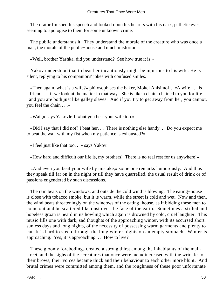The orator finished his speech and looked upon his hearers with his dark, pathetic eyes, seeming to apologise to them for some unknown crime.

 The public understands it. They understand the morale of the creature who was once a man, the morale of the public−house and much misfortune.

«Well, brother Yashka, did you understand? See how true it is!»

 Yakov understood that to beat her incautiously might be injurious to his wife. He is silent, replying to his companions' jokes with confused smiles.

 «Then again, what is a wife?» philosophises the baker, Mokei Anisimoff. «A wife . . . is a friend . . . if we look at the matter in that way. She is like a chain, chained to you for life . . . and you are both just like galley slaves. And if you try to get away from her, you cannot, you feel the chain . . .»

«Wait,» says Yakovleff; «but you beat your wife too.»

 «Did I say that I did not? I beat her. . . There is nothing else handy. . . Do you expect me to beat the wall with my fist when my patience is exhausted?»

«I feel just like that too. . .» says Yakov.

«How hard and difficult our life is, my brothers! There is no real rest for us anywhere!»

 «And even you beat your wife by mistake,» some one remarks humorously. And thus they speak till far on in the night or till they have quarrelled, the usual result of drink or of passions engendered by such discussions.

 The rain beats on the windows, and outside the cold wind is blowing. The eating−house is close with tobacco smoke, but it is warm, while the street is cold and wet. Now and then, the wind beats threateningly on the windows of the eating−house, as if bidding these men to come out and be scattered like dust over the face of the earth. Sometimes a stifled and hopeless groan is heard in its howling which again is drowned by cold, cruel laughter. This music fills one with dark, sad thoughts of the approaching winter, with its accursed short, sunless days and long nights, of the necessity of possessing warm garments and plenty to eat. It is hard to sleep through the long winter nights on an empty stomach. Winter is approaching. Yes, it is approaching. . . How to live?

 These gloomy forebodings created a strong thirst among the inhabitants of the main street, and the sighs of the «creatures that once were men» increased with the wrinkles on their brows, their voices became thick and their behaviour to each other more blunt. And brutal crimes were committed among them, and the roughness of these poor unfortunate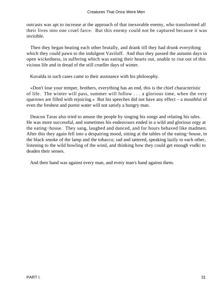outcasts was apt to increase at the approach of that inexorable enemy, who transformed all their lives into one cruel farce. But this enemy could not be captured because it was invisible.

 Then they began beating each other brutally, and drank till they had drunk everything which they could pawn to the indulgent Vaviloff. And thus they passed the autumn days in open wickedness, in suffering which was eating their hearts out, unable to rise out of this vicious life and in dread of the still crueller days of winter.

Kuvalda in such cases came to their assistance with his philosophy.

 «Don't lose your temper, brothers, everything has an end, this is the chief characteristic of life. The winter will pass, summer will follow . . . a glorious time, when the very sparrows are filled with rejoicing.» But his speeches did not have any effect – a mouthful of even the freshest and purest water will not satisfy a hungry man.

 Deacon Taras also tried to amuse the people by singing his songs and relating his tales. He was more successful, and sometimes his endeavours ended in a wild and glorious orgy at the eating−house. They sang, laughed and danced, and for hours behaved like madmen. After this they again fell into a despairing mood, sitting at the tables of the eating−house, in the black smoke of the lamp and the tobacco; sad and tattered, speaking lazily to each other, listening to the wild howling of the wind, and thinking how they could get enough vodki to deaden their senses.

And their hand was against every man, and every man's hand against them.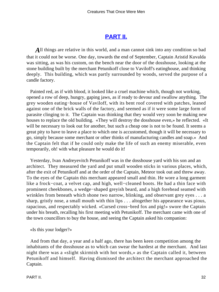### **[PART II.](#page-66-0)**

<span id="page-32-0"></span>All things are relative in this world, and a man cannot sink into any condition so bad that it could not be worse. One day, towards the end of September, Captain Aristid Kuvalda was sitting, as was his custom, on the bench near the door of the dosshouse, looking at the stone building built by the merchant Petunikoff close to Vaviloff's eatinghouse, and thinking deeply. This building, which was partly surrounded by woods, served the purpose of a candle factory.

 Painted red, as if with blood, it looked like a cruel machine which, though not working, opened a row of deep, hungry, gaping jaws, as if ready to devour and swallow anything. The grey wooden eating−house of Vaviloff, with its bent roof covered with patches, leaned against one of the brick walls of the factory, and seemed as if it were some large form of parasite clinging to it. The Captain was thinking that they would very soon be making new houses to replace the old building. «They will destroy the dosshouse even,» he reflected. «It will be necessary to look out for another, but such a cheap one is not to be found. It seems a great pity to have to leave a place to which one is accustomed, though it will be necessary to go, simply because some merchant or other thinks of manufacturing candles and soap.» And the Captain felt that if he could only make the life of such an enemy miserable, even temporarily, oh! with what pleasure he would do it!

 Yesterday, Ivan Andreyevitch Petunikoff was in the dosshouse yard with his son and an architect. They measured the yard and put small wooden sticks in various places, which, after the exit of Petunikoff and at the order of the Captain, Meteor took out and threw away. To the eyes of the Captain this merchant appeared small and thin. He wore a long garment like a frock−coat, a velvet cap, and high, well−cleaned boots. He had a thin face with prominent cheekbones, a wedge−shaped greyish beard, and a high forehead seamed with wrinkles from beneath which shone two narrow, blinking, and observant grey eyes . . . a sharp, gristly nose, a small mouth with thin lips . . . altogether his appearance was pious, rapacious, and respectably wicked. «Cursed cross−bred fox and pig!» swore the Captain under his breath, recalling his first meeting with Petunikoff. The merchant came with one of the town councillors to buy the house, and seeing the Captain asked his companion:

«Is this your lodger?»

 And from that day, a year and a half ago, there has been keen competition among the inhabitants of the dosshouse as to which can swear the hardest at the merchant. And last night there was a «slight skirmish with hot words,» as the Captain called it, between Petunikoff and himself. Having dismissed the architect the merchant approached the Captain.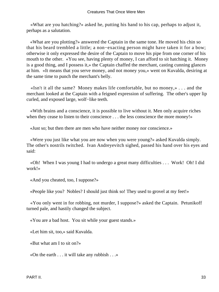«What are you hatching?» asked he, putting his hand to his cap, perhaps to adjust it, perhaps as a salutation.

 «What are you plotting?» answered the Captain in the same tone. He moved his chin so that his beard trembled a little; a non−exacting person might have taken it for a bow; otherwise it only expressed the desire of the Captain to move his pipe from one corner of his mouth to the other. «You see, having plenty of money, I can afford to sit hatching it. Money is a good thing, and I possess it,» the Captain chaffed the merchant, casting cunning glances at him. «It means that you serve money, and not money you,» went on Kuvalda, desiring at the same time to punch the merchant's belly.

 «Isn't it all the same? Money makes life comfortable, but no money,» . . . and the merchant looked at the Captain with a feigned expression of suffering. The other's upper lip curled, and exposed large, wolf−like teeth.

 «With brains and a conscience, it is possible to live without it. Men only acquire riches when they cease to listen to their conscience . . . the less conscience the more money!»

«Just so; but then there are men who have neither money nor conscience.»

 «Were you just like what you are now when you were young?» asked Kuvalda simply. The other's nostrils twitched. Ivan Andreyevitch sighed, passed his hand over his eyes and said:

 «Oh! When I was young I had to undergo a great many difficulties . . . Work! Oh! I did work!»

«And you cheated, too, I suppose?»

«People like you? Nobles? I should just think so! They used to grovel at my feet!»

 «You only went in for robbing, not murder, I suppose?» asked the Captain. Petunikoff turned pale, and hastily changed the subject.

«You are a bad host. You sit while your guest stands.»

«Let him sit, too,» said Kuvalda.

«But what am I to sit on?»

«On the earth . . . it will take any rubbish . . .»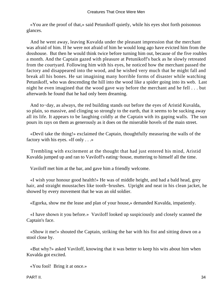«You are the proof of that,» said Petunikoff quietly, while his eyes shot forth poisonous glances.

 And he went away, leaving Kuvalda under the pleasant impression that the merchant was afraid of him. If he were not afraid of him he would long ago have evicted him from the dosshouse. But then he would think twice before turning him out, because of the five roubles a month. And the Captain gazed with pleasure at Petunikoff's back as he slowly retreated from the courtyard. Following him with his eyes, he noticed how the merchant passed the factory and disappeared into the wood, and he wished very much that he might fall and break all his bones. He sat imagining many horrible forms of disaster while watching Petunikoff, who was descending the hill into the wood like a spider going into its web. Last night he even imagined that the wood gave way before the merchant and he fell . . . but afterwards he found that he had only been dreaming.

 And to−day, as always, the red building stands out before the eyes of Aristid Kuvalda, so plain, so massive, and clinging so strongly to the earth, that it seems to be sucking away all its life. It appears to be laughing coldly at the Captain with its gaping walls. The sun pours its rays on them as generously as it does on the miserable hovels of the main street.

 «Devil take the thing!» exclaimed the Captain, thoughtfully measuring the walls of the factory with his eyes. «If only . . .»

 Trembling with excitement at the thought that had just entered his mind, Aristid Kuvalda jumped up and ran to Vaviloff's eating−house, muttering to himself all the time.

Vaviloff met him at the bar, and gave him a friendly welcome.

 «I wish your honour good health!» He was of middle height, and had a bald head, grey hair, and straight moustaches like tooth−brushes. Upright and neat in his clean jacket, he showed by every movement that he was an old soldier.

«Egorka, show me the lease and plan of your house,» demanded Kuvalda, impatiently.

 «I have shown it you before.» Vaviloff looked up suspiciously and closely scanned the Captain's face.

 «Show it me!» shouted the Captain, striking the bar with his fist and sitting down on a stool close by.

 «But why?» asked Vaviloff, knowing that it was better to keep his wits about him when Kuvalda got excited.

«You fool! Bring it at once.»

PART II. 34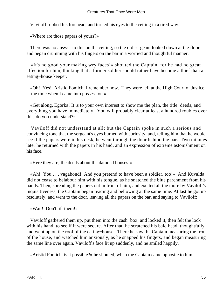Vaviloff rubbed his forehead, and turned his eyes to the ceiling in a tired way.

«Where are those papers of yours?»

 There was no answer to this on the ceiling, so the old sergeant looked down at the floor, and began drumming with his fingers on the bar in a worried and thoughtful manner.

 «It's no good your making wry faces!» shouted the Captain, for he had no great affection for him, thinking that a former soldier should rather have become a thief than an eating−house keeper.

 «Oh! Yes! Aristid Fomich, I remember now. They were left at the High Court of Justice at the time when I came into possession.»

 «Get along, Egorka! It is to your own interest to show me the plan, the title−deeds, and everything you have immediately. You will probably clear at least a hundred roubles over this, do you understand?»

 Vaviloff did not understand at all; but the Captain spoke in such a serious and convincing tone that the sergeant's eyes burned with curiosity, and, telling him that he would see if the papers were in his desk, he went through the door behind the bar. Two minutes later he returned with the papers in his hand, and an expression of extreme astonishment on his face.

«Here they are; the deeds about the damned houses!»

 «Ah! You . . . vagabond! And you pretend to have been a soldier, too!» And Kuvalda did not cease to belabour him with his tongue, as he snatched the blue parchment from his hands. Then, spreading the papers out in front of him, and excited all the more by Vaviloff's inquisitiveness, the Captain began reading and bellowing at the same time. At last he got up resolutely, and went to the door, leaving all the papers on the bar, and saying to Vaviloff:

«Wait! Don't lift them!»

 Vaviloff gathered them up, put them into the cash−box, and locked it, then felt the lock with his hand, to see if it were secure. After that, he scratched his bald head, thoughtfully, and went up on the roof of the eating−house. There he saw the Captain measuring the front of the house, and watched him anxiously, as he snapped his fingers, and began measuring the same line over again. Vaviloff's face lit up suddenly, and he smiled happily.

«Aristid Fomich, is it possible?» he shouted, when the Captain came opposite to him.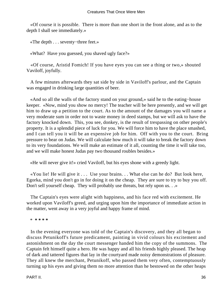«Of course it is possible. There is more than one short in the front alone, and as to the depth I shall see immediately.»

«The depth . . . seventy−three feet.»

«What? Have you guessed, you shaved ugly face?»

 «Of course, Aristid Fomich! If you have eyes you can see a thing or two,» shouted Vaviloff, joyfully.

 A few minutes afterwards they sat side by side in Vaviloff's parlour, and the Captain was engaged in drinking large quantities of beer.

 «And so all the walls of the factory stand on your ground,» said he to the eating−house keeper. «Now, mind you show no mercy! The teacher will be here presently, and we will get him to draw up a petition to the court. As to the amount of the damages you will name a very moderate sum in order not to waste money in deed stamps, but we will ask to have the factory knocked down. This, you see, donkey, is the result of trespassing on other people's property. It is a splendid piece of luck for you. We will force him to have the place smashed, and I can tell you it will be an expensive job for him. Off with you to the court. Bring pressure to bear on Judas. We will calculate how much it will take to break the factory down to its very foundations. We will make an estimate of it all, counting the time it will take too, and we will make honest Judas pay two thousand roubles besides.»

«He will never give it!» cried Vaviloff, but his eyes shone with a greedy light.

 «You lie! He will give it . . . Use your brains. . . What else can he do? But look here, Egorka, mind you don't go in for doing it on the cheap. They are sure to try to buy you off. Don't sell yourself cheap. They will probably use threats, but rely upon us. . .»

 The Captain's eyes were alight with happiness, and his face red with excitement. He worked upon Vaviloff's greed, and urging upon him the importance of immediate action in the matter, went away in a very joyful and happy frame of mind.

\* **\* \* \* \***

 In the evening everyone was told of the Captain's discovery, and they all began to discuss Petunikoff's future predicament, painting in vivid colours his excitement and astonishment on the day the court messenger handed him the copy of the summons. The Captain felt himself quite a hero. He was happy and all his friends highly pleased. The heap of dark and tattered figures that lay in the courtyard made noisy demonstrations of pleasure. They all knew the merchant, Petunikoff, who passed them very often, contemptuously turning up his eyes and giving them no more attention than he bestowed on the other heaps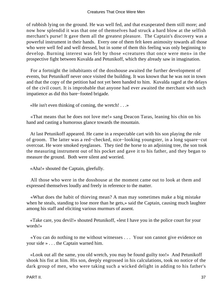of rubbish lying on the ground. He was well fed, and that exasperated them still more; and now how splendid it was that one of themselves had struck a hard blow at the selfish merchant's purse! It gave them all the greatest pleasure. The Captain's discovery was a powerful instrument in their hands. Every one of them felt keen animosity towards all those who were well fed and well dressed, but in some of them this feeling was only beginning to develop. Burning interest was felt by those «creatures that once were men» in the prospective fight between Kuvalda and Petunikoff, which they already saw in imagination.

 For a fortnight the inhabitants of the dosshouse awaited the further development of events, but Petunikoff never once visited the building. It was known that he was not in town and that the copy of the petition had not yet been handed to him. Kuvalda raged at the delays of the civil court. It is improbable that anyone had ever awaited the merchant with such impatience as did this bare−footed brigade.

«He isn't even thinking of coming, the wretch! . . .»

 «That means that he does not love me!» sang Deacon Taras, leaning his chin on his hand and casting a humorous glance towards the mountain.

 At last Petunikoff appeared. He came in a respectable cart with his son playing the role of groom. The latter was a red−checked, nice−looking youngster, in a long square−cut overcoat. He wore smoked eyeglasses. They tied the horse to an adjoining tree, the son took the measuring instrument out of his pocket and gave it to his father, and they began to measure the ground. Both were silent and worried.

«Aha!» shouted the Captain, gleefully.

 All those who were in the dosshouse at the moment came out to look at them and expressed themselves loudly and freely in reference to the matter.

 «What does the habit of thieving mean? A man may sometimes make a big mistake when he steals, standing to lose more than he gets,» said the Captain, causing much laughter among his staff and eliciting various murmurs of assent.

 «Take care, you devil!» shouted Petunikoff, «lest I have you in the police court for your words!»

 «You can do nothing to me without witnesses . . . Your son cannot give evidence on your side » . . . the Captain warned him.

 «Look out all the same, you old wretch, you may be found guilty too!» And Petunikoff shook his fist at him. His son, deeply engrossed in his calculations, took no notice of the dark group of men, who were taking such a wicked delight in adding to his father's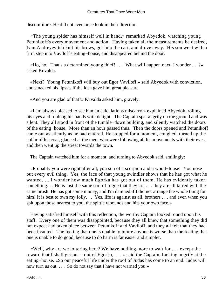discomfiture. He did not even once look in their direction.

 «The young spider has himself well in hand,» remarked Abyedok, watching young Petunikoff's every movement and action. Having taken all the measurements he desired, Ivan Andreyevitch knit his brows, got into the cart, and drove away. His son went with a firm step into Vaviloff's eating−house, and disappeared behind the door.

«Ho, ho! That's a determined young thief! ... What will happen next, I wonder  $\dots$ ?» asked Kuvalda.

 «Next? Young Petunikoff will buy out Egor Vaviloff,» said Abyedok with conviction, and smacked his lips as if the idea gave him great pleasure.

«And you are glad of that?» Kuvalda asked him, gravely.

 «I am always pleased to see human calculations miscarry,» explained Abyedok, rolling his eyes and rubbing his hands with delight. The Captain spat angrily on the ground and was silent. They all stood in front of the tumble−down building, and silently watched the doors of the eating−house. More than an hour passed thus. Then the doors opened and Petunikoff came out as silently as he had entered. He stopped for a moment, coughed, turned up the collar of his coat, glanced at the men, who were following all his movements with their eyes, and then went up the street towards the town.

The Captain watched him for a moment, and turning to Abyedok said, smilingly:

 «Probably you were right after all, you son of a scorpion and a wood−louse! You nose out every evil thing. Yes, the face of that young swindler shows that he has got what he wanted. . . I wonder how much Egorka has got out of them. He has evidently taken something. . . He is just the same sort of rogue that they are . . . they are all tarred with the same brush. He has got some money, and I'm damned if I did not arrange the whole thing for him! It is best to own my folly... Yes, life is against us all, brothers ... and even when you spit upon those nearest to you, the spittle rebounds and hits your own face.»

 Having satisfied himself with this reflection, the worthy Captain looked round upon his staff. Every one of them was disappointed, because they all knew that something they did not expect had taken place between Petunikoff and Vaviloff, and they all felt that they had been insulted. The feeling that one is unable to injure anyone is worse than the feeling that one is unable to do good, because to do harm is far easier and simpler.

 «Well, why are we loitering here? We have nothing more to wait for . . . except the reward that I shall get out – out of Egorka, . . . » said the Captain, looking angrily at the eating−house. «So our peaceful life under the roof of Judas has come to an end. Judas will now turn us out. . . . So do not say that I have not warned you.»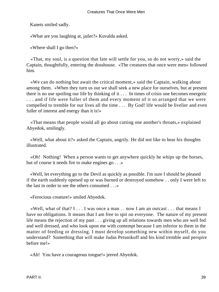Kanets smiled sadly.

«What are you laughing at, jailer?» Kuvalda asked.

«Where shall I go then?»

 «That, my soul, is a question that fate will settle for you, so do not worry,» said the Captain, thoughtfully, entering the dosshouse. «The creatures that once were men» followed him.

 «We can do nothing but await the critical moment,» said the Captain, walking about among them. «When they turn us out we shall seek a new place for ourselves, but at present there is no use spoiling our life by thinking of it . . . In times of crisis one becomes energetic . . . and if life were fuller of them and every moment of it so arranged that we were compelled to tremble for our lives all the time . . . By God! life would be livelier and even fuller of interest and energy than it is!»

 «That means that people would all go about cutting one another's throats,» explained Abyedok, smilingly.

 «Well, what about it?» asked the Captain, angrily. He did not like to hear his thoughts illustrated.

 «Oh! Nothing! When a person wants to get anywhere quickly he whips up the horses, but of course it needs fire to make engines go . . .»

 «Well, let everything go to the Devil as quickly as possible. I'm sure I should be pleased if the earth suddenly opened up or was burned or destroyed somehow . . only I were left to the last in order to see the others consumed . . .»

«Ferocious creature!» smiled Abyedok.

 «Well, what of that? I . . . I was once a man . . now I am an outcast . . . that means I have no obligations. It means that I am free to spit on everyone. The nature of my present life means the rejection of my past . . . giving up all relations towards men who are well fed and well dressed, and who look upon me with contempt because I am inferior to them in the matter of feeding or dressing. I must develop something new within myself, do you understand? Something that will make Judas Petunikoff and his kind tremble and perspire before me!»

«Ah! You have a courageous tongue!» jeered Abyedok.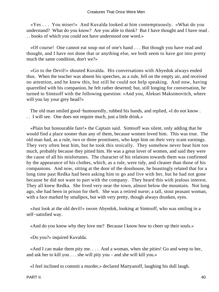«Yes . . . You miser!» And Kuvalda looked at him contemptuously. «What do you understand? What do you know? Are you able to think? But I have thought and I have read . . . books of which you could not have understood one word.»

 «Of course! One cannot eat soup out of one's hand . . . But though you have read and thought, and I have not done that or anything else, we both seem to have got into pretty much the same condition, don't we?»

 «Go to the Devil!» shouted Kuvalda. His conversations with Abyedok always ended thus. When the teacher was absent his speeches, as a rule, fell on the empty air, and received no attention, and he knew this, but still he could not help speaking. And now, having quarrelled with his companion, he felt rather deserted; but, still longing for conversation, he turned to Simtsoff with the following question: «And you, Aleksei Maksimovitch, where will you lay your grey head?»

 The old man smiled good−humouredly, rubbed his hands, and replied, «I do not know . . . I will see. One does not require much, just a little drink.»

 «Plain but honourable fare!» the Captain said. Simtsoff was silent, only adding that he would find a place sooner than any of them, because women loved him. This was true. The old man had, as a rule, two or three prostitutes, who kept him on their very scant earnings. They very often beat him, but he took this stoically. They somehow never beat him too much, probably because they pitied him. He was a great lover of women, and said they were the cause of all his misfortunes. The character of his relations towards them was confirmed by the appearance of his clothes, which, as a rule, were tidy, and cleaner than those of his companions. And now, sitting at the door of the dosshouse, he boastingly related that for a long time past Redka had been asking him to go and live with her, but he had not gone because he did not want to part with the company. They heard this with jealous interest. They all knew Redka. She lived very near the town, almost below the mountain. Not long ago, she had been in prison for theft. She was a retired nurse; a tall, stout peasant woman, with a face marked by smallpox, but with very pretty, though always drunken, eyes.

 «Just look at the old devil!» swore Abyedok, looking at Simtsoff, who was smiling in a self−satisfied way.

«And do you know why they love me? Because I know how to cheer up their souls.»

«Do you?» inquired Kuvalda.

 «And I can make them pity me. . . . And a woman, when she pities! Go and weep to her, and ask her to kill you . . . she will pity you – and she will kill you.»

«I feel inclined to commit a murder,» declared Martyanoff, laughing his dull laugh.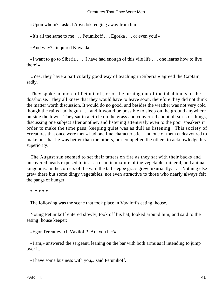«Upon whom?» asked Abyedok, edging away from him.

«It's all the same to me . . . Petunikoff . . . Egorka . . . or even you!»

«And why?» inquired Kuvalda.

«I want to go to Siberia  $\dots$  I have had enough of this vile life  $\dots$  one learns how to live there!»

 «Yes, they have a particularly good way of teaching in Siberia,» agreed the Captain, sadly.

 They spoke no more of Petunikoff, or of the turning out of the inhabitants of the dosshouse. They all knew that they would have to leave soon, therefore they did not think the matter worth discussion. It would do no good, and besides the weather was not very cold though the rains had begun . . . and it would be possible to sleep on the ground anywhere outside the town. They sat in a circle on the grass and conversed about all sorts of things, discussing one subject after another, and listening attentively even to the poor speakers in order to make the time pass; keeping quiet was as dull as listening. This society of «creatures that once were men» had one fine characteristic – no one of them endeavoured to make out that he was better than the others, nor compelled the others to acknowledge his superiority.

 The August sun seemed to set their tatters on fire as they sat with their backs and uncovered heads exposed to it . . . a chaotic mixture of the vegetable, mineral, and animal kingdoms. In the corners of the yard the tall steppe grass grew luxuriantly. . . . Nothing else grew there but some dingy vegetables, not even attractive to those who nearly always felt the pangs of hunger.

\* **\* \* \* \***

The following was the scene that took place in Vaviloff's eating−house.

 Young Petunikoff entered slowly, took off his hat, looked around him, and said to the eating−house keeper:

«Egor Terentievitch Vaviloff? Are you he?»

 «I am,» answered the sergeant, leaning on the bar with both arms as if intending to jump over it.

«I have some business with you,» said Petunikoff.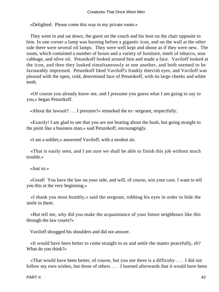«Delighted. Please come this way to my private room.»

 They went in and sat down, the guest on the couch and his host on the chair opposite to him. In one corner a lamp was burning before a gigantic icon, and on the wall at the other side there were several oil lamps. They were well kept and shone as if they were new. The room, which contained a number of boxes and a variety of furniture, smelt of tobacco, sour cabbage, and olive oil. Petunikoff looked around him and made a face. Vaviloff looked at the icon, and then they looked simultaneously at one another, and both seemed to be favourably impressed. Petunikoff liked Vaviloff's frankly thievish eyes, and Vaviloff was pleased with the open, cold, determined face of Petunikoff, with its large cheeks and white teeth.

 «Of course you already know me, and I presume you guess what I am going to say to you,» began Petunikoff.

«About the lawsuit? . . . I presume?» remarked the ex−sergeant, respectfully.

 «Exactly! I am glad to see that you are not beating about the bush, but going straight to the point like a business man,» said Petunikoff, encouragingly.

«I am a soldier,» answered Vaviloff, with a modest air.

 «That is easily seen, and I am sure we shall be able to finish this job without much trouble.»

«Just so.»

 «Good! You have the law on your side, and will, of course, win your case. I want to tell you this at the very beginning.»

 «I thank you most humbly,» said the sergeant, rubbing his eyes in order to hide the smile in them.

 «But tell me, why did you make the acquaintance of your future neighbours like this through the law courts?»

Vaviloff shrugged his shoulders and did not answer.

 «It would have been better to come straight to us and settle the matter peacefully, eh? What do you think?»

 «That would have been better, of course, but you see there is a difficulty . . . I did not follow my own wishes, but those of others . . . I learned afterwards that it would have been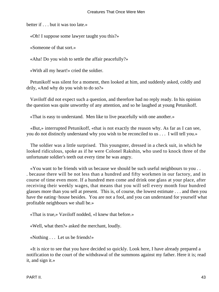better if . . . but it was too late.»

«Oh! I suppose some lawyer taught you this?»

«Someone of that sort.»

«Aha! Do you wish to settle the affair peacefully?»

«With all my heart!» cried the soldier.

 Petunikoff was silent for a moment, then looked at him, and suddenly asked, coldly and drily, «And why do you wish to do so?»

 Vaviloff did not expect such a question, and therefore had no reply ready. In his opinion the question was quite unworthy of any attention, and so he laughed at young Petunikoff.

«That is easy to understand. Men like to live peacefully with one another.»

 «But,» interrupted Petunikoff, «that is not exactly the reason why. As far as I can see, you do not distinctly understand why you wish to be reconciled to us . . . I will tell you.»

 The soldier was a little surprised. This youngster, dressed in a check suit, in which he looked ridiculous, spoke as if he were Colonel Rakshin, who used to knock three of the unfortunate soldier's teeth out every time he was angry.

 «You want to be friends with us because we should be such useful neighbours to you . . . because there will be not less than a hundred and fifty workmen in our factory, and in course of time even more. If a hundred men come and drink one glass at your place, after receiving their weekly wages, that means that you will sell every month four hundred glasses more than you sell at present. This is, of course, the lowest estimate . . . and then you have the eating−house besides. You are not a fool, and you can understand for yourself what profitable neighbours we shall be.»

«That is true,» Vaviloff nodded, «I knew that before.»

«Well, what then?» asked the merchant, loudly.

«Nothing . . . Let us be friends!»

 «It is nice to see that you have decided so quickly. Look here, I have already prepared a notification to the court of the withdrawal of the summons against my father. Here it is; read it, and sign it.»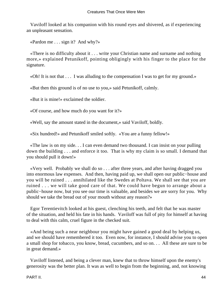Vaviloff looked at his companion with his round eyes and shivered, as if experiencing an unpleasant sensation.

«Pardon me . . . sign it? And why?»

 «There is no difficulty about it . . . write your Christian name and surname and nothing more,» explained Petunikoff, pointing obligingly with his finger to the place for the signature.

«Oh! It is not that . . . I was alluding to the compensation I was to get for my ground.»

«But then this ground is of no use to you,» said Petunikoff, calmly.

«But it is mine!» exclaimed the soldier.

«Of course, and how much do you want for it?»

«Well, say the amount stated in the document,» said Vaviloff, boldly.

«Six hundred!» and Petunikoff smiled softly. «You are a funny fellow!»

 «The law is on my side. . . I can even demand two thousand. I can insist on your pulling down the building . . . and enforce it too. That is why my claim is so small. I demand that you should pull it down!»

 «Very well. Probably we shall do so . . . after three years, and after having dragged you into enormous law expenses. And then, having paid up, we shall open our public−house and you will be ruined . . . annihilated like the Swedes at Poltava. We shall see that you are ruined . . . we will take good care of that. We could have begun to arrange about a public−house now, but you see our time is valuable, and besides we are sorry for you. Why should we take the bread out of your mouth without any reason?»

 Egor Terentievitch looked at his guest, clenching his teeth, and felt that he was master of the situation, and held his fate in his hands. Vaviloff was full of pity for himself at having to deal with this calm, cruel figure in the checked suit.

 «And being such a near neighbour you might have gained a good deal by helping us, and we should have remembered it too. Even now, for instance, I should advise you to open a small shop for tobacco, you know, bread, cucumbers, and so on. . . All these are sure to be in great demand.»

 Vaviloff listened, and being a clever man, knew that to throw himself upon the enemy's generosity was the better plan. It was as well to begin from the beginning, and, not knowing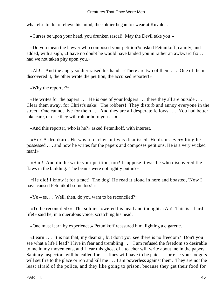what else to do to relieve his mind, the soldier began to swear at Kuvalda.

«Curses be upon your head, you drunken rascal! May the Devil take you!»

 «Do you mean the lawyer who composed your petition?» asked Petunikoff, calmly, and added, with a sigh, «I have no doubt he would have landed you in rather an awkward fix . . . had we not taken pity upon you.»

 «Ah!» And the angry soldier raised his hand. «There are two of them . . . One of them discovered it, the other wrote the petition, the accursed reporter!»

«Why the reporter?»

 «He writes for the papers . . . He is one of your lodgers . . . there they all are outside . . . Clear them away, for Christ's sake! The robbers! They disturb and annoy everyone in the street. One cannot live for them . . . And they are all desperate fellows . . . You had better take care, or else they will rob or burn you . . .»

«And this reporter, who is he?» asked Petunikoff, with interest.

 «He? A drunkard. He was a teacher but was dismissed. He drank everything he possessed . . . and now he writes for the papers and composes petitions. He is a very wicked man!»

 «H'm! And did he write your petition, too? I suppose it was he who discovered the flaws in the building. The beams were not rightly put in?»

 «He did! I know it for a fact! The dog! He read it aloud in here and boasted, 'Now I have caused Petunikoff some loss!'»

 $\langle Ye - es. \ldots \rangle$  Well, then, do you want to be reconciled?»

 «To be reconciled?» The soldier lowered his head and thought. «Ah! This is a hard life!» said he, in a querulous voice, scratching his head.

«One must learn by experience,» Petunikoff reassured him, lighting a cigarette.

 «Learn . . . It is not that, my dear sir; but don't you see there is no freedom? Don't you see what a life I lead? I live in fear and trembling . . . I am refused the freedom so desirable to me in my movements, and I fear this ghost of a teacher will write about me in the papers. Sanitary inspectors will be called for . . . fines will have to be paid . . . or else your lodgers will set fire to the place or rob and kill me . . . I am powerless against them. They are not the least afraid of the police, and they like going to prison, because they get their food for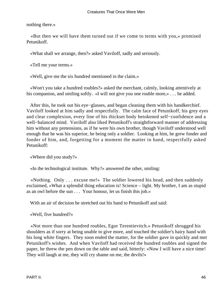nothing there.»

 «But then we will have them turned out if we come to terms with you,» promised Petunikoff.

«What shall we arrange, then?» asked Vaviloff, sadly and seriously.

«Tell me your terms.»

«Well, give me the six hundred mentioned in the claim.»

 «Won't you take a hundred roubles?» asked the merchant, calmly, looking attentively at his companion, and smiling softly. «I will not give you one rouble more,»... he added.

 After this, he took out his eye−glasses, and began cleaning them with his handkerchief. Vaviloff looked at him sadly and respectfully. The calm face of Petunikoff, his grey eyes and clear complexion, every line of his thickset body betokened self−confidence and a well−balanced mind. Vaviloff also liked Petunikoff's straightforward manner of addressing him without any pretensions, as if he were his own brother, though Vaviloff understood well enough that he was his superior, he being only a soldier. Looking at him, he grew fonder and fonder of him, and, forgetting for a moment the matter in hand, respectfully asked Petunikoff:

«Where did you study?»

«In the technological institute. Why?» answered the other, smiling:

 «Nothing. Only . . . excuse me!» The soldier lowered his head, and then suddenly exclaimed, «What a splendid thing education is! Science – light. My brother, I am as stupid as an owl before the sun . . . Your honour, let us finish this job.»

With an air of decision he stretched out his hand to Petunikoff and said:

«Well, five hundred?»

 «Not more than one hundred roubles, Egor Terentievitch.» Petunikoff shrugged his shoulders as if sorry at being unable to give more, and touched the soldier's hairy hand with his long white fingers. They soon ended the matter, for the soldier gave in quickly and met Petunikoff's wishes. And when Vaviloff had received the hundred roubles and signed the paper, he threw the pen down on the table and said, bitterly: «Now I will have a nice time! They will laugh at me, they will cry shame on me, the devils!»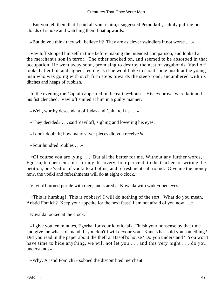«But you tell them that I paid all your claim,» suggested Petunikoff, calmly puffing out clouds of smoke and watching them float upwards.

«But do you think they will believe it? They are as clever swindlers if not worse . . .»

 Vaviloff stopped himself in time before making the intended comparison, and looked at the merchant's son in terror. The other smoked on, and seemed to be absorbed in that occupation. He went away soon, promising to destroy the nest of vagabonds. Vaviloff looked after him and sighed, feeling as if he would like to shout some insult at the young man who was going with such firm steps towards the steep road, encumbered with its ditches and heaps of rubbish.

 In the evening the Captain appeared in the eating−house. His eyebrows were knit and his fist clenched. Vaviloff smiled at him in a guilty manner.

«Well, worthy descendant of Judas and Cain, tell us . . .»

«They decided» . . . said Vaviloff, sighing and lowering his eyes.

«I don't doubt it; how many silver pieces did you receive?»

«Four hundred roubles . . .»

 «Of course you are lying . . . But all the better for me. Without any further words, Egorka, ten per cent. of it for my discovery, four per cent. to the teacher for writing the petition, one 'vedro' of vodki to all of us, and refreshments all round. Give me the money now, the vodki and refreshments will do at eight o'clock.»

Vaviloff turned purple with rage, and stared at Kuvalda with wide−open eyes.

 «This is humbug! This is robbery! I will do nothing of the sort. What do you mean, Aristid Fomich? Keep your appetite for the next feast! I am not afraid of you now . . . »

Kuvalda looked at the clock.

 «I give you ten minutes, Egorka, for your idiotic talk. Finish your nonsense by that time and give me what I demand. If you don't I will devour you! Kanets has sold you something? Did you read in the paper about the theft at Basoff's house? Do you understand? You won't have time to hide anything, we will not let you . . . and this very night . . . do you understand?»

«Why, Aristid Fomich?» sobbed the discomfited merchant.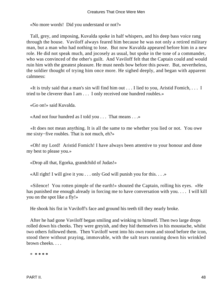«No more words! Did you understand or not?»

 Tall, grey, and imposing, Kuvalda spoke in half whispers, and his deep bass voice rang through the house. Vaviloff always feared him because he was not only a retired military man, but a man who had nothing to lose. But now Kuvalda appeared before him in a new role. He did not speak much, and jocosely as usual, but spoke in the tone of a commander, who was convinced of the other's guilt. And Vaviloff felt that the Captain could and would ruin him with the greatest pleasure. He must needs bow before this power. But, nevertheless, the soldier thought of trying him once more. He sighed deeply, and began with apparent calmness:

 «It is truly said that a man's sin will find him out . . . I lied to you, Aristid Fomich, . . . I tried to be cleverer than I am . . . I only received one hundred roubles.»

«Go on!» said Kuvalda.

«And not four hundred as I told you . . . That means . . .»

 «It does not mean anything. It is all the same to me whether you lied or not. You owe me sixty−five roubles. That is not much, eh?»

 «Oh! my Lord! Aristid Fomich! I have always been attentive to your honour and done my best to please you.»

«Drop all that, Egorka, grandchild of Judas!»

«All right! I will give it you . . . only God will punish you for this. . . .»

 «Silence! You rotten pimple of the earth!» shouted the Captain, rolling his eyes. «He has punished me enough already in forcing me to have conversation with you. . . . I will kill you on the spot like a fly!»

He shook his fist in Vaviloff's face and ground his teeth till they nearly broke.

 After he had gone Vaviloff began smiling and winking to himself. Then two large drops rolled down his cheeks. They were greyish, and they hid themselves in his moustache, whilst two others followed them. Then Vaviloff went into his own room and stood before the icon, stood there without praying, immovable, with the salt tears running down his wrinkled brown cheeks. . . .

\* **\* \* \* \***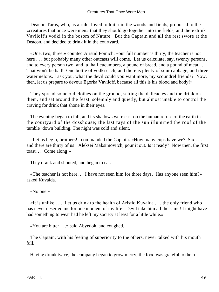Deacon Taras, who, as a rule, loved to loiter in the woods and fields, proposed to the «creatures that once were men» that they should go together into the fields, and there drink Vaviloff's vodki in the bosom of Nature. But the Captain and all the rest swore at the Deacon, and decided to drink it in the courtyard.

 «One, two, three,» counted Aristid Fomich; «our full number is thirty, the teacher is not here . . . but probably many other outcasts will come. Let us calculate, say, twenty persons, and to every person two−and−a−half cucumbers, a pound of bread, and a pound of meat . . . That won't be bad! One bottle of vodki each, and there is plenty of sour cabbage, and three watermelons. I ask you, what the devil could you want more, my scoundrel friends? Now, then, let us prepare to devour Egorka Vaviloff, because all this is his blood and body!»

 They spread some old clothes on the ground, setting the delicacies and the drink on them, and sat around the feast, solemnly and quietly, but almost unable to control the craving for drink that shone in their eyes.

 The evening began to fall, and its shadows were cast on the human refuse of the earth in the courtyard of the dosshouse; the last rays of the sun illumined the roof of the tumble−down building. The night was cold and silent.

 «Let us begin, brothers!» commanded the Captain. «How many cups have we? Six . . . and there are thirty of us! Aleksei Maksimovitch, pour it out. Is it ready? Now then, the first toast. . . Come along!»

They drank and shouted, and began to eat.

 «The teacher is not here. . . I have not seen him for three days. Has anyone seen him?» asked Kuvalda.

«No one.»

 «It is unlike . . . Let us drink to the health of Aristid Kuvalda . . . the only friend who has never deserted me for one moment of my life! Devil take him all the same! I might have had something to wear had he left my society at least for a little while.»

«You are bitter . . .» said Abyedok, and coughed.

 The Captain, with his feeling of superiority to the others, never talked with his mouth full.

Having drunk twice, the company began to grow merry; the food was grateful to them.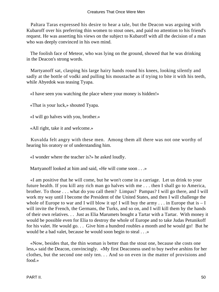Paltara Taras expressed his desire to hear a tale, but the Deacon was arguing with Kubaroff over his preferring thin women to stout ones, and paid no attention to his friend's request. He was asserting his views on the subject to Kubaroff with all the decision of a man who was deeply convinced in his own mind.

 The foolish face of Meteor, who was lying on the ground, showed that he was drinking in the Deacon's strong words.

 Martyanoff sat, clasping his large hairy hands round his knees, looking silently and sadly at the bottle of vodki and pulling his moustache as if trying to bite it with his teeth, while Abyedok was teasing Tyapa.

«I have seen you watching the place where your money is hidden!»

«That is your luck,» shouted Tyapa.

«I will go halves with you, brother.»

«All right, take it and welcome.»

 Kuvalda felt angry with these men. Among them all there was not one worthy of hearing his oratory or of understanding him.

«I wonder where the teacher is?» he asked loudly.

Martyanoff looked at him and said, «He will come soon . . .»

 «I am positive that he will come, but he won't come in a carriage. Let us drink to your future health. If you kill any rich man go halves with me . . . then I shall go to America, brother. To those . . . what do you call them? Limpas? Pampas? I will go there, and I will work my way until I become the President of the United States, and then I will challenge the whole of Europe to war and I will blow it up! I will buy the army  $\dots$  in Europe that is  $-I$ will invite the French, the Germans, the Turks, and so on, and I will kill them by the hands of their own relatives. . . Just as Elia Marumets bought a Tartar with a Tartar. With money it would be possible even for Elia to destroy the whole of Europe and to take Judas Petunikoff for his valet. He would go. . . Give him a hundred roubles a month and he would go! But he would be a bad valet, because he would soon begin to steal . . .»

 «Now, besides that, the thin woman is better than the stout one, because she costs one less,» said the Deacon, convincingly. «My first Deaconess used to buy twelve arshins for her clothes, but the second one only ten. . . And so on even in the matter of provisions and food.»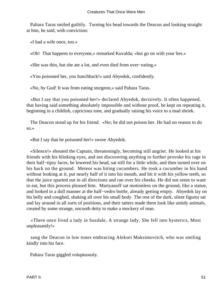Paltara Taras smiled guiltily. Turning his head towards the Deacon and looking straight at him, he said, with conviction:

«I had a wife once, too.»

«Oh! That happens to everyone,» remarked Kuvalda; «but go on with your lies.»

«She was thin, but she ate a lot, and even died from over−eating.»

«You poisoned her, you hunchback!» said Abyedok, confidently.

«No, by God! It was from eating sturgeon,» said Paltara Taras.

 «But I say that you poisoned her!» declared Abyedok, decisively. It often happened, that having said something absolutely impossible and without proof, he kept on repeating it, beginning in a childish, capricious tone, and gradually raising his voice to a mad shriek.

 The Deacon stood up for his friend. «No; he did not poison her. He had no reason to do so.»

«But I say that he poisoned her!» swore Abyedok.

 «Silence!» shouted the Captain, threateningly, becoming still angrier. He looked at his friends with his blinking eyes, and not discovering anything to further provoke his rage in their half−tipsy faces, he lowered his head, sat still for a little while, and then turned over on his back on the ground. Meteor was biting cucumbers. He took a cucumber in his hand without looking at it, put nearly half of it into his mouth, and bit it with his yellow teeth, so that the juice spurted out in all directions and ran over his cheeks. He did not seem to want to eat, but this process pleased him. Martyanoff sat motionless on the ground, like a statue, and looked in a dull manner at the half−vedro bottle, already getting empty. Abyedok lay on his belly and coughed, shaking all over his small body. The rest of the dark, silent figures sat and lay around in all sorts of positions, and their tatters made them look like untidy animals, created by some strange, uncouth deity to make a mockery of man.

 «There once lived a lady in Suzdale, A strange lady, She fell into hysterics, Most unpleasantly!»

 sang the Deacon in low tones embracing Aleksei Maksimovitch, who was smiling kindly into his face.

Paltara Taras giggled voluptuously.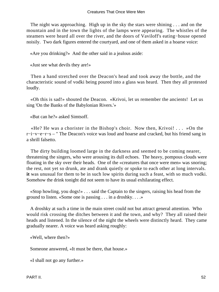The night was approaching. High up in the sky the stars were shining . . . and on the mountain and in the town the lights of the lamps were appearing. The whistles of the steamers were heard all over the river, and the doors of Vaviloff's eating−house opened noisily. Two dark figures entered the courtyard, and one of them asked in a hoarse voice:

«Are you drinking?» And the other said in a jealous aside:

«Just see what devils they are!»

 Then a hand stretched over the Deacon's head and took away the bottle, and the characteristic sound of vodki being poured into a glass was heard. Then they all protested loudly.

 «Oh this is sad!» shouted the Deacon. «Krivoi, let us remember the ancients! Let us sing 'On the Banks of the Babylonian Rivers.'»

«But can he?» asked Simtsoff.

 «He? He was a chorister in the Bishop's choir. Now then, Krivoi! . . . »On the r−i−v−e−r−s – " The Deacon's voice was loud and hoarse and cracked, but his friend sang in a shrill falsetto.

 The dirty building loomed large in the darkness and seemed to be coming nearer, threatening the singers, who were arousing its dull echoes. The heavy, pompous clouds were floating in the sky over their heads. One of the «creatures that once were men» was snoring; the rest, not yet so drunk, ate and drank quietly or spoke to each other at long intervals. **it** was unusual for them to be in such low spirits during such a feast, with so much vodki. Somehow the drink tonight did not seem to have its usual exhilarating effect.

 «Stop howling, you dogs!» . . . said the Captain to the singers, raising his head from the ground to listen. «Some one is passing . . . in a droshky. . . .»

 A droshky at such a time in the main street could not but attract general attention. Who would risk crossing the ditches between it and the town, and why? They all raised their heads and listened. In the silence of the night the wheels were distinctly heard. They came gradually nearer. A voice was heard asking roughly:

«Well, where then?»

Someone answered, «It must be there, that house.»

«I shall not go any further.»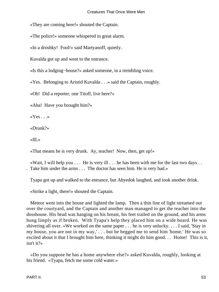«They are coming here!» shouted the Captain.

«The police!» someone whispered in great alarm.

«In a droshky! Fool!» said Martyanoff, quietly.

Kuvalda got up and went to the entrance.

«Is this a lodging−house?» asked someone, in a trembling voice.

«Yes. Belonging to Aristid Kuvalda . . .» said the Captain, roughly.

«Oh! Did a reporter, one Titoff, live here?»

«Aha! Have you brought him?»

« $Yes \dots$ »

«Drunk?»

«Ill.»

«That means he is very drunk. Ay, teacher! Now, then, get up!»

«Wait, I will help you  $\dots$  He is very ill  $\dots$  he has been with me for the last two days  $\dots$ . Take him under the arms . . . The doctor has seen him. He is very bad.»

Tyapa got up and walked to the entrance, but Abyedok laughed, and took another drink.

«Strike a light, there!» shouted the Captain.

 Meteor went into the house and lighted the lamp. Then a thin line of light streamed out over the courtyard, and the Captain and another man managed to get the teacher into the dosshouse. His head was hanging on his breast, his feet trailed on the ground, and his arms hung limply as if broken. With Tyapa's help they placed him on a wide board. He was shivering all over. «We worked on the same paper . . . he is very unlucky. . . . I said, 'Stay in my house, you are not in my way,' . . . but he begged me to send him 'home.' He was so excited about it that I brought him here, thinking it might do him good. . . Home! This is it, isn't it?»

 «Do you suppose he has a home anywhere else?» asked Kuvalda, roughly, looking at his friend. «Tyapa, fetch me some cold water.»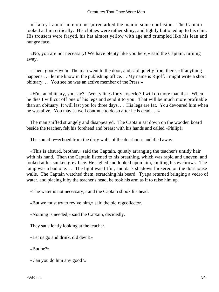#### Creatures That Once Were Men

 «I fancy I am of no more use,» remarked the man in some confusion. The Captain looked at him critically. His clothes were rather shiny, and tightly buttoned up to his chin. His trousers were frayed, his hat almost yellow with age and crumpled like his lean and hungry face.

 «No, you are not necessary! We have plenty like you here,» said the Captain, turning away.

 «Then, good−bye!» The man went to the door, and said quietly from there, «If anything happens . . . let me know in the publishing office. . . My name is Rijoff. I might write a short obituary. . . You see he was an active member of the Press.»

 «H'm, an obituary, you say? Twenty lines forty kopecks? I will do more than that. When he dies I will cut off one of his legs and send it to you. That will be much more profitable than an obituary. It will last you for three days. . . His legs are fat. You devoured him when he was alive. You may as well continue to do so after he is dead . . .»

 The man sniffed strangely and disappeared. The Captain sat down on the wooden board beside the teacher, felt his forehead and breast with his hands and called «Philip!»

The sound re−echoed from the dirty walls of the dosshouse and died away.

 «This is absurd, brother,» said the Captain, quietly arranging the teacher's untidy hair with his hand. Then the Captain listened to his breathing, which was rapid and uneven, and looked at his sunken grey face. He sighed and looked upon him, knitting his eyebrows. The lamp was a bad one... The light was fitful, and dark shadows flickered on the dosshouse walls. The Captain watched them, scratching his beard. Tyapa returned bringing a vedro of water, and placing it by the teacher's head, he took his arm as if to raise him up.

«The water is not necessary,» and the Captain shook his head.

«But we must try to revive him,» said the old ragcollector.

«Nothing is needed,» said the Captain, decidedly.

They sat silently looking at the teacher.

«Let us go and drink, old devil!»

«But he?»

«Can you do him any good?»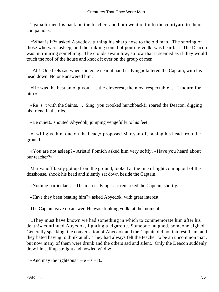Tyapa turned his back on the teacher, and both went out into the courtyard to their companions.

 «What is it?» asked Abyedok, turning his sharp nose to the old man. The snoring of those who were asleep, and the tinkling sound of pouring vodki was heard. . . The Deacon was murmuring something. The clouds swam low, so low that it seemed as if they would touch the roof of the house and knock it over on the group of men.

 «Ah! One feels sad when someone near at hand is dying,» faltered the Captain, with his head down. No one answered him.

 «He was the best among you . . . the cleverest, the most respectable. . . I mourn for him.»

 «Re−s−t with the Saints. . . Sing, you crooked hunchback!» roared the Deacon, digging his friend in the ribs.

«Be quiet!» shouted Abyedok, jumping vengefully to his feet.

 «I will give him one on the head,» proposed Martyanoff, raising his head from the ground.

 «You are not asleep?» Aristid Fomich asked him very softly. «Have you heard about our teacher?»

 Martyanoff lazily got up from the ground, looked at the line of light coming out of the dosshouse, shook his head and silently sat down beside the Captain.

«Nothing particular. . . The man is dying . . .» remarked the Captain, shortly.

«Have they been beating him?» asked Abyedok, with great interest.

The Captain gave no answer. He was drinking vodki at the moment.

 «They must have known we had something in which to commemorate him after his death!» continued Abyedok, lighting a cigarette. Someone laughed, someone sighed. Generally speaking, the conversation of Abyedok and the Captain did not interest them, and they hated having to think at all. They had always felt the teacher to be an uncommon man, but now many of them were drunk and the others sad and silent. Only the Deacon suddenly drew himself up straight and howled wildly:

«And may the righteous  $r - e - s - t!$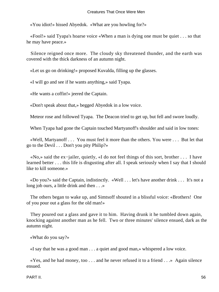«You idiot!» hissed Abyedok. «What are you howling for?»

 «Fool!» said Tyapa's hoarse voice «When a man is dying one must be quiet . . . so that he may have peace.»

 Silence reigned once more. The cloudy sky threatened thunder, and the earth was covered with the thick darkness of an autumn night.

«Let us go on drinking!» proposed Kuvalda, filling up the glasses.

«I will go and see if he wants anything,» said Tyapa.

«He wants a coffin!» jeered the Captain.

«Don't speak about that,» begged Abyedok in a low voice.

Meteor rose and followed Tyapa. The Deacon tried to get up, but fell and swore loudly.

When Tyapa had gone the Captain touched Martyanoff's shoulder and said in low tones:

 «Well, Martyanoff . . . You must feel it more than the others. You were . . . But let that go to the Devil . . . Don't you pity Philip?»

 «No,» said the ex−jailer, quietly, «I do not feel things of this sort, brother . . . I have learned better . . . this life is disgusting after all. I speak seriously when I say that I should like to kill someone.»

 «Do you?» said the Captain, indistinctly. «Well . . . let's have another drink . . . It's not a long job ours, a little drink and then  $\dots$ 

 The others began to wake up, and Simtsoff shouted in a blissful voice: «Brothers! One of you pour out a glass for the old man!»

 They poured out a glass and gave it to him. Having drunk it he tumbled down again, knocking against another man as he fell. Two or three minutes' silence ensued, dark as the autumn night.

«What do you say?»

«I say that he was a good man . . . a quiet and good man,» whispered a low voice.

 «Yes, and he had money, too . . . and he never refused it to a friend . . .» Again silence ensued.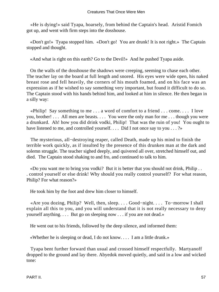«He is dying!» said Tyapa, hoarsely, from behind the Captain's head. Aristid Fomich got up, and went with firm steps into the dosshouse.

 «Don't go!» Tyapa stopped him. «Don't go! You are drunk! It is not right.» The Captain stopped and thought.

«And what is right on this earth? Go to the Devil!» And he pushed Tyapa aside.

 On the walls of the dosshouse the shadows were creeping, seeming to chase each other. The teacher lay on the board at full length and snored. His eyes were wide open, his naked breast rose and fell heavily, the corners of his mouth foamed, and on his face was an expression as if he wished to say something very important, but found it difficult to do so. The Captain stood with his hands behind him, and looked at him in silence. He then began in a silly way:

 «Philip! Say something to me . . . a word of comfort to a friend . . . come. . . . I love you, brother! . . . All men are beasts. . . . You were the only man for me . . . though you were a drunkard. Ah! how you did drink vodki, Philip! That was the ruin of you! You ought to have listened to me, and controlled yourself. . . . Did I not once say to you . . . ?»

 The mysterious, all−destroying reaper, called Death, made up his mind to finish the terrible work quickly, as if insulted by the presence of this drunken man at the dark and solemn struggle. The teacher sighed deeply, and quivered all over, stretched himself out, and died. The Captain stood shaking to and fro, and continued to talk to him.

 «Do you want me to bring you vodki? But it is better that you should not drink, Philip . . . control yourself or else drink! Why should you really control yourself? For what reason, Philip? For what reason?»

He took him by the foot and drew him closer to himself.

 «Are you dozing, Philip? Well, then, sleep. . . . Good−night. . . . To−morrow I shall explain all this to you, and you will understand that it is not really necessary to deny yourself anything. . . . But go on sleeping now . . . if you are not dead.»

He went out to his friends, followed by the deep silence, and informed them:

«Whether he is sleeping or dead, I do not know. . . . I am a little drunk.»

 Tyapa bent further forward than usual and crossed himself respectfully. Martyanoff dropped to the ground and lay there. Abyedok moved quietly, and said in a low and wicked tone: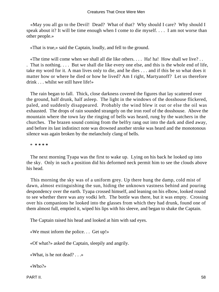«May you all go to the Devil! Dead? What of that? Why should I care? Why should I speak about it? It will be time enough when I come to die myself. . . . I am not worse than other people.»

«That is true,» said the Captain, loudly, and fell to the ground.

 «The time will come when we shall all die like others. . . . Ha! ha! How shall we live? . . . That is nothing. . . . But we shall die like every one else, and this is the whole end of life, take my word for it. A man lives only to die, and he dies . . . and if this be so what does it matter how or where he died or how he lived? Am I right, Martyanoff? Let us therefore drink . . . whilst we still have life!»

 The rain began to fall. Thick, close darkness covered the figures that lay scattered over the ground, half drunk, half asleep. The light in the windows of the dosshouse flickered, paled, and suddenly disappeared. Probably the wind blew it out or else the oil was exhausted. The drops of rain sounded strangely on the iron roof of the dosshouse. Above the mountain where the town lay the ringing of bells was heard, rung by the watchers in the churches. The brazen sound coming from the belfry rang out into the dark and died away, and before its last indistinct note was drowned another stroke was heard and the monotonous silence was again broken by the melancholy clang of bells.

\* **\* \* \* \***

 The next morning Tyapa was the first to wake up. Lying on his back he looked up into the sky. Only in such a position did his deformed neck permit him to see the clouds above his head.

 This morning the sky was of a uniform grey. Up there hung the damp, cold mist of dawn, almost extinguishing the sun, hiding the unknown vastness behind and pouring despondency over the earth. Tyapa crossed himself, and leaning on his elbow, looked round to see whether there was any vodki left. The bottle was there, but it was empty. Crossing over his companions he looked into the glasses from which they had drunk, found one of them almost full, emptied it, wiped his lips with his sleeve, and began to shake the Captain.

The Captain raised his head and looked at him with sad eyes.

«We must inform the police. . . Get up!»

«Of what?» asked the Captain, sleepily and angrily.

«What, is he not dead? . . .»

«Who?»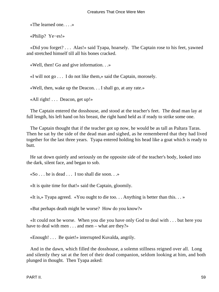«The learned one. . . .»

«Philip? Ye−es!»

 «Did you forget? . . . Alas!» said Tyapa, hoarsely. The Captain rose to his feet, yawned and stretched himself till all his bones cracked.

«Well, then! Go and give information. . .»

«I will not go . . . I do not like them,» said the Captain, morosely.

«Well, then, wake up the Deacon. . . I shall go, at any rate.»

«All right! . . . Deacon, get up!»

 The Captain entered the dosshouse, and stood at the teacher's feet. The dead man lay at full length, his left hand on his breast, the right hand held as if ready to strike some one.

 The Captain thought that if the teacher got up now, he would be as tall as Paltara Taras. Then he sat by the side of the dead man and sighed, as he remembered that they had lived together for the last three years. Tyapa entered holding his head like a goat which is ready to butt.

 He sat down quietly and seriously on the opposite side of the teacher's body, looked into the dark, silent face, and began to sob.

 $\&\text{So} \dots$  he is dead  $\ldots$  I too shall die soon.  $\Box$ 

«It is quite time for that!» said the Captain, gloomily.

«It is,» Tyapa agreed. «You ought to die too. . . Anything is better than this. . . »

«But perhaps death might be worse? How do you know?»

 «It could not be worse. When you die you have only God to deal with . . . but here you have to deal with men . . . and men – what are they?»

«Enough! . . . Be quiet!» interrupted Kuvalda, angrily.

 And in the dawn, which filled the dosshouse, a solemn stillness reigned over all. Long and silently they sat at the feet of their dead companion, seldom looking at him, and both plunged in thought. Then Tyapa asked: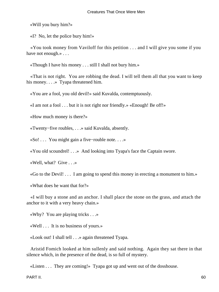«Will you bury him?»

«I? No, let the police bury him!»

 «You took money from Vaviloff for this petition . . . and I will give you some if you have not enough.» . . .

«Though I have his money . . . still I shall not bury him.»

 «That is not right. You are robbing the dead. I will tell them all that you want to keep his money. . . . » Tyapa threatened him.

«You are a fool, you old devil!» said Kuvalda, contemptuously.

«I am not a fool . . . but it is not right nor friendly.» «Enough! Be off!»

«How much money is there?»

«Twenty−five roubles, . . .» said Kuvalda, absently.

«So! . . . You might gain a five−rouble note. . . .»

«You old scoundrel! . . .» And looking into Tyapa's face the Captain swore.

«Well, what? Give . . .»

«Go to the Devil! . . . I am going to spend this money in erecting a monument to him.»

«What does he want that for?»

 «I will buy a stone and an anchor. I shall place the stone on the grass, and attach the anchor to it with a very heavy chain.»

«Why? You are playing tricks . . .»

«Well . . . It is no business of yours.»

«Look out! I shall tell . . .» again threatened Tyapa.

 Aristid Fomich looked at him sullenly and said nothing. Again they sat there in that silence which, in the presence of the dead, is so full of mystery.

«Listen . . . They are coming!» Tyapa got up and went out of the dosshouse.

PART II. 60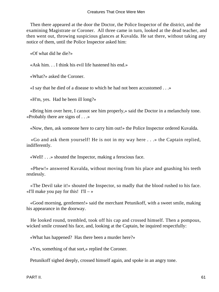Then there appeared at the door the Doctor, the Police Inspector of the district, and the examining Magistrate or Coroner. All three came in turn, looked at the dead teacher, and then went out, throwing suspicious glances at Kuvalda. He sat there, without taking any notice of them, until the Police Inspector asked him:

«Of what did he die?»

«Ask him. . . I think his evil life hastened his end.»

«What?» asked the Coroner.

«I say that he died of a disease to which he had not been accustomed . . .»

«H'm, yes. Had he been ill long?»

 «Bring him over here, I cannot see him properly,» said the Doctor in a melancholy tone. «Probably there are signs of . . .»

«Now, then, ask someone here to carry him out!» the Police Inspector ordered Kuvalda.

 «Go and ask them yourself! He is not in my way here . . .» the Captain replied, indifferently.

«Well! . . .» shouted the Inspector, making a ferocious face.

 «Phew!» answered Kuvalda, without moving from his place and gnashing his teeth restlessly.

 «The Devil take it!» shouted the Inspector, so madly that the blood rushed to his face. «I'll make you pay for this!  $I'll - \infty$ 

 «Good morning, gentlemen!» said the merchant Petunikoff, with a sweet smile, making his appearance in the doorway.

 He looked round, trembled, took off his cap and crossed himself. Then a pompous, wicked smile crossed his face, and, looking at the Captain, he inquired respectfully:

«What has happened? Has there been a murder here?»

«Yes, something of that sort,» replied the Coroner.

Petunikoff sighed deeply, crossed himself again, and spoke in an angry tone.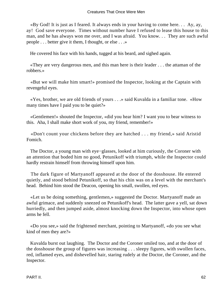«By God! It is just as I feared. It always ends in your having to come here. . . Ay, ay, ay! God save everyone. Times without number have I refused to lease this house to this man, and he has always won me over, and I was afraid. You know. . . They are such awful people . . . better give it them, I thought, or else . . .»

He covered his face with his hands, tugged at his beard, and sighed again.

 «They are very dangerous men, and this man here is their leader . . . the attaman of the robbers.»

 «But we will make him smart!» promised the Inspector, looking at the Captain with revengeful eyes.

 «Yes, brother, we are old friends of yours . . .» said Kuvalda in a familiar tone. «How many times have I paid you to be quiet?»

 «Gentlemen!» shouted the Inspector, «did you hear him? I want you to bear witness to this. Aha, I shall make short work of you, my friend, remember!»

 «Don't count your chickens before they are hatched . . . my friend,» said Aristid Fomich.

 The Doctor, a young man with eye−glasses, looked at him curiously, the Coroner with an attention that boded him no good, Petunikoff with triumph, while the Inspector could hardly restrain himself from throwing himself upon him.

 The dark figure of Martyanoff appeared at the door of the dosshouse. He entered quietly, and stood behind Petunikoff, so that his chin was on a level with the merchant's head. Behind him stood the Deacon, opening his small, swollen, red eyes.

 «Let us be doing something, gentlemen,» suggested the Doctor. Martyanoff made an awful grimace, and suddenly sneezed on Petunikoff's head. The latter gave a yell, sat down hurriedly, and then jumped aside, almost knocking down the Inspector, into whose open arms he fell.

 «Do you see,» said the frightened merchant, pointing to Martyanoff, «do you see what kind of men they are?»

 Kuvalda burst out laughing. The Doctor and the Coroner smiled too, and at the door of the dosshouse the group of figures was increasing . . . sleepy figures, with swollen faces, red, inflamed eyes, and dishevelled hair, staring rudely at the Doctor, the Coroner, and the Inspector.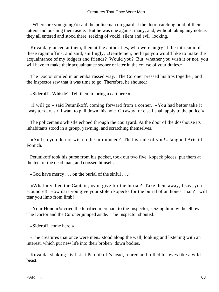«Where are you going?» said the policeman on guard at the door, catching hold of their tatters and pushing them aside. But he was one against many, and, without taking any notice, they all entered and stood there, reeking of vodki, silent and evil−looking.

 Kuvalda glanced at them, then at the authorities, who were angry at the intrusion of these ragamuffins, and said, smilingly, «Gentlemen, perhaps you would like to make the acquaintance of my lodgers and friends? Would you? But, whether you wish it or not, you will have to make their acquaintance sooner or later in the course of your duties.»

 The Doctor smiled in an embarrassed way. The Coroner pressed his lips together, and the Inspector saw that it was time to go. Therefore, he shouted:

«Sideroff! Whistle! Tell them to bring a cart here.»

 «I will go,» said Petunikoff, coming forward from a corner. «You had better take it away to−day, sir, I want to pull down this hole. Go away! or else I shall apply to the police!»

 The policeman's whistle echoed through the courtyard. At the door of the dosshouse its inhabitants stood in a group, yawning, and scratching themselves.

 «And so you do not wish to be introduced? That is rude of you!» laughed Aristid Fomich.

 Petunikoff took his purse from his pocket, took out two five−kopeck pieces, put them at the feet of the dead man, and crossed himself.

«God have mercy . . . on the burial of the sinful . . .»

 «What!» yelled the Captain, «you give for the burial? Take them away, I say, you scoundrel! How dare you give your stolen kopecks for the burial of an honest man? I will tear you limb from limb!»

 «Your Honour!» cried the terrified merchant to the Inspector, seizing him by the elbow. The Doctor and the Coroner jumped aside. The Inspector shouted:

«Sideroff, come here!»

 «The creatures that once were men» stood along the wall, looking and listening with an interest, which put new life into their broken−down bodies.

 Kuvalda, shaking his fist at Petunikoff's head, roared and rolled his eyes like a wild beast.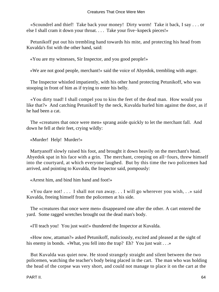«Scoundrel and thief! Take back your money! Dirty worm! Take it back, I say . . . or else I shall cram it down your throat. . . . Take your five−kopeck pieces!»

 Petunikoff put out his trembling hand towards his mite, and protecting his head from Kuvalda's fist with the other hand, said:

«You are my witnesses, Sir Inspector, and you good people!»

«We are not good people, merchant!» said the voice of Abyedok, trembling with anger.

 The Inspector whistled impatiently, with his other hand protecting Petunikoff, who was stooping in front of him as if trying to enter his belly.

 «You dirty toad! I shall compel you to kiss the feet of the dead man. How would you like that?» And catching Petunikoff by the neck, Kuvalda hurled him against the door, as if he had been a cat.

 The «creatures that once were men» sprang aside quickly to let the merchant fall. And down he fell at their feet, crying wildly:

«Murder! Help! Murder!»

 Martyanoff slowly raised his foot, and brought it down heavily on the merchant's head. Abyedok spat in his face with a grin. The merchant, creeping on all−fours, threw himself into the courtyard, at which everyone laughed. But by this time the two policemen had arrived, and pointing to Kuvalda, the Inspector said, pompously:

«Arrest him, and bind him hand and foot!»

 «You dare not! . . . I shall not run away. . . I will go wherever you wish, . .» said Kuvalda, freeing himself from the policemen at his side.

 The «creatures that once were men» disappeared one after the other. A cart entered the yard. Some ragged wretches brought out the dead man's body.

«I'll teach you! You just wait!» thundered the Inspector at Kuvalda.

 «How now, attaman?» asked Petunikoff, maliciously, excited and pleased at the sight of his enemy in bonds. «What, you fell into the trap? Eh? You just wait . . .»

 But Kuvalda was quiet now. He stood strangely straight and silent between the two policemen, watching the teacher's body being placed in the cart. The man who was holding the head of the corpse was very short, and could not manage to place it on the cart at the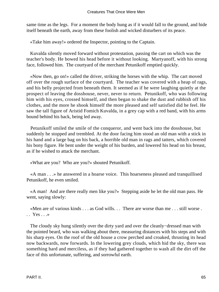same time as the legs. For a moment the body hung as if it would fall to the ground, and hide itself beneath the earth, away from these foolish and wicked disturbers of its peace.

«Take him away!» ordered the Inspector, pointing to the Captain.

 Kuvalda silently moved forward without protestation, passing the cart on which was the teacher's body. He bowed his head before it without looking. Martyanoff, with his strong face, followed him. The courtyard of the merchant Petunikoff emptied quickly.

 «Now then, go on!» called the driver, striking the horses with the whip. The cart moved off over the rough surface of the courtyard. The teacher was covered with a heap of rags, and his belly projected from beneath them. It seemed as if he were laughing quietly at the prospect of leaving the dosshouse, never, never to return. Petunikoff, who was following him with his eyes, crossed himself, and then began to shake the dust and rubbish off his clothes, and the more he shook himself the more pleased and self satisfied did he feel. He saw the tall figure of Aristid Fomich Kuvalda, in a grey cap with a red band, with his arms bound behind his back, being led away.

 Petunikoff smiled the smile of the conqueror, and went back into the dosshouse, but suddenly he stopped and trembled. At the door facing him stood an old man with a stick in his hand and a large bag on his back, a horrible old man in rags and tatters, which covered his bony figure. He bent under the weight of his burden, and lowered his head on his breast, as if he wished to attack the merchant.

«What are you? Who are you?» shouted Petunikoff.

 «A man . . .» he answered in a hoarse voice. This hoarseness pleased and tranquillised Petunikoff, he even smiled.

 «A man! And are there really men like you?» Stepping aside he let the old man pass. He went, saying slowly:

 «Men are of various kinds . . . as God wills. . . There are worse than me . . . still worse .  $\cdot$  . Yes  $\cdot$  . . »

 The cloudy sky hung silently over the dirty yard and over the cleanly−dressed man with the pointed beard, who was walking about there, measuring distances with his steps and with his sharp eyes. On the roof of the old house a crow perched and croaked, thrusting its head now backwards, now forwards. In the lowering grey clouds, which hid the sky, there was something hard and merciless, as if they had gathered together to wash all the dirt off the face of this unfortunate, suffering, and sorrowful earth.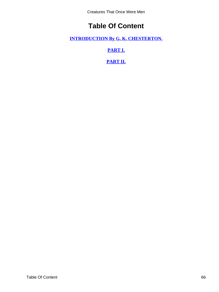Creatures That Once Were Men

# **Table Of Content**

<span id="page-66-0"></span>**[INTRODUCTION By G. K. CHESTERTON.](#page-3-0)**

**[PART I.](#page-7-0)**

**[PART II.](#page-32-0)**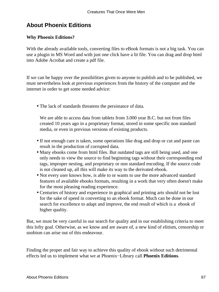# <span id="page-67-0"></span>**About Phoenix Editions**

### **Why Phoenix Editions?**

With the already available tools, converting files to eBook formats is not a big task. You can use a plugin in MS Word and with just one click have a lit file. You can drag and drop html into Adobe Acrobat and create a pdf file.

If we can be happy over the possibilities given to anyone to publish and to be published, we must nevertheless look at previous experiences from the history of the computer and the internet in order to get some needed advice:

• The lack of standards threatens the persistance of data.

We are able to access data from tablets from 3.000 year B.C. but not from files created 10 years ago in a proprietary format, stored in some specific non standard media, or even in previous versions of existing products.

- If not enough care is taken, some operations like drag and drop or cut and paste can result in the production of corrupted data.
- Many ebooks come from html files. But outdated tags are still being used, and one only needs to view the source to find beginning tags without their corresponding end tags, improper nesting, and proprietary or non standard encoding. If the source code is not cleaned up, all this will make its way to the derivated ebook.
- Not every user knows how, is able to or wants to use the more advanced standard features of available ebooks formats, resulting in a work that very often doesn't make for the most pleasing reading experience.
- Centuries of history and experience in graphical and printing arts should not be lost for the sake of speed in converting to an ebook format. Much can be done in our search for excellence to adapt and improve, the end result of which is a ebook of higher quality.

But, we must be very careful in our search for quality and in our establishing criteria to meet this lofty goal. Otherwise, as we know and are aware of, a new kind of elitism, censorship or snobism can arise out of this endeavour.

Finding the proper and fair way to achieve this quality of ebook without such detrimental effects led us to implement what we at Phoenix−Library call **Phoenix Editions**.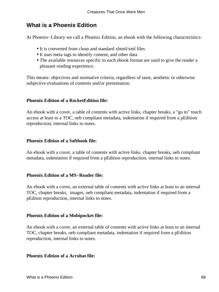# **What is a Phoenix Edition**

At Phoenix−Library we call a Phoenix Edition, an ebook with the following characteristics:

- It is converted from clean and standard xhtml/xml files
- It uses meta tags to identify content, and other data
- The available resources specific to each ebook format are used to give the reader a pleasant reading experience.

This means: objectives and normative criteria, regardless of taste, aesthetic or otherwise subjective evaluations of contents and/or presentation.

### **Phoenix Edition of a RocketEdition file:**

An ebook with a cover, a table of contents with active links, chapter breaks, a "go to" touch access at least to a TOC, oeb compliant metadata, indentation if required from a pEdition reproduction, internal links to notes.

### **Phoenix Edition of a Softbook file:**

An ebook with a cover, a table of contents with active links, chapter breaks, oeb compliant metadata, indentation if required from a pEdition reproduction, internal links to notes.

### **Phoenix Edition of a MS−Reader file:**

An ebook with a cover, an external table of contents with active links at least to an internal TOC, chapter breaks, images, oeb compliant metadata, indentation if required from a pEditon reproduction, internal links to notes.

### **Phoenix Edition of a Mobipocket file:**

An ebook with a cover, an external table of contents with active links at least to an internal TOC, chapter breaks, oeb compliant metadata, indentation if required from a pEdition reproduction, internal links to notes.

### **Phoenix Edition of a Acrobat file:**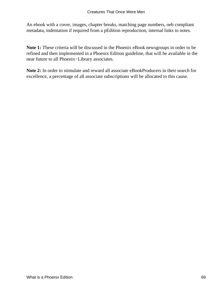An ebook with a cover, images, chapter breaks, matching page numbers, oeb compliant metadata, indentation if required from a pEdition reproduction, internal links to notes.

**Note 1:** These criteria will be discussed in the Phoenix eBook newsgroups in order to be refined and then implemented in a Phoenix Edition guideline, that will be available in the near future to all Phoenix−Library associates.

**Note 2:** In order to stimulate and reward all associate eBookProducers in their search for excellence, a percentage of all associate subscriptions will be allocated to this cause.